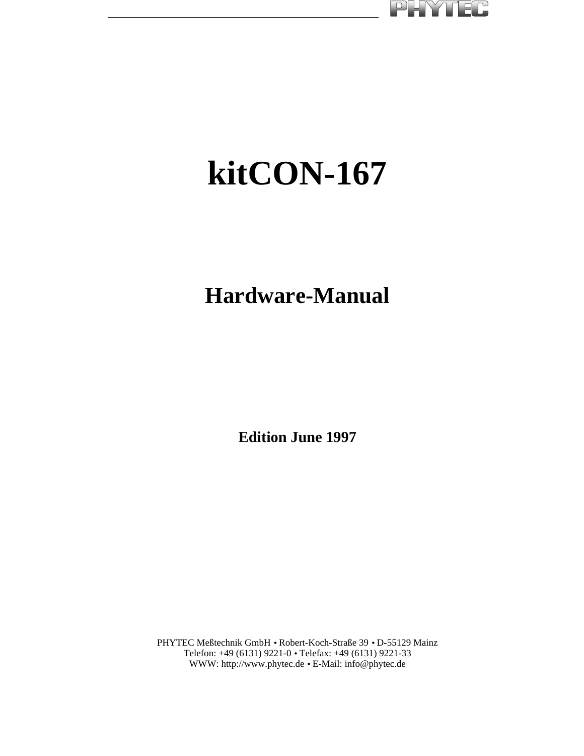

# **kitCON-167**

 $\overline{\phantom{a}}$ 

## **Hardware-Manual**

**Edition June 1997**

PHYTEC Meßtechnik GmbH • Robert-Koch-Straße 39 • D-55129 Mainz Telefon: +49 (6131) 9221-0 • Telefax: +49 (6131) 9221-33 WWW: http://www.phytec.de • E-Mail: info@phytec.de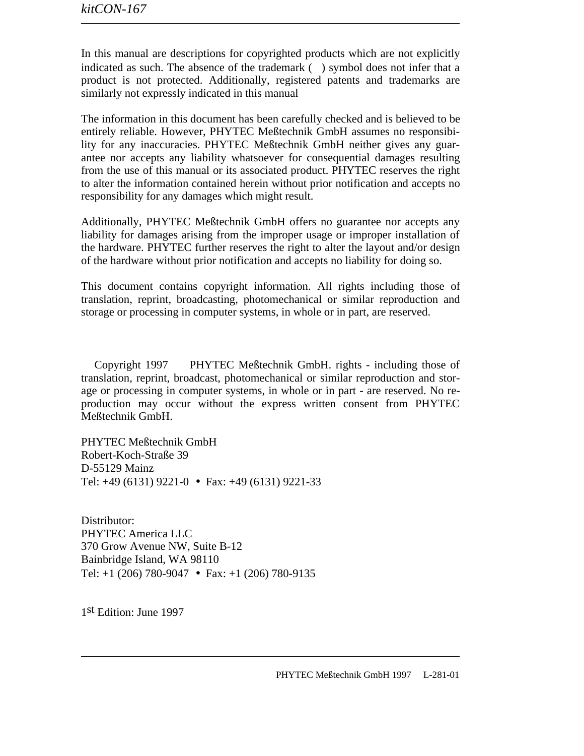In this manual are descriptions for copyrighted products which are not explicitly indicated as such. The absence of the trademark  $(\circledR)$  symbol does not infer that a product is not protected. Additionally, registered patents and trademarks are similarly not expressly indicated in this manual

The information in this document has been carefully checked and is believed to be entirely reliable. However, PHYTEC Meßtechnik GmbH assumes no responsibility for any inaccuracies. PHYTEC Meßtechnik GmbH neither gives any guarantee nor accepts any liability whatsoever for consequential damages resulting from the use of this manual or its associated product. PHYTEC reserves the right to alter the information contained herein without prior notification and accepts no responsibility for any damages which might result.

Additionally, PHYTEC Meßtechnik GmbH offers no guarantee nor accepts any liability for damages arising from the improper usage or improper installation of the hardware. PHYTEC further reserves the right to alter the layout and/or design of the hardware without prior notification and accepts no liability for doing so.

This document contains copyright information. All rights including those of translation, reprint, broadcasting, photomechanical or similar reproduction and storage or processing in computer systems, in whole or in part, are reserved.

 Copyright 1997 PHYTEC Meßtechnik GmbH. rights - including those of translation, reprint, broadcast, photomechanical or similar reproduction and storage or processing in computer systems, in whole or in part - are reserved. No reproduction may occur without the express written consent from PHYTEC Meßtechnik GmbH.

PHYTEC Meßtechnik GmbH Robert-Koch-Straße 39 D-55129 Mainz Tel: +49 (6131) 9221-0 • Fax: +49 (6131) 9221-33

Distributor: PHYTEC America LLC 370 Grow Avenue NW, Suite B-12 Bainbridge Island, WA 98110 Tel:  $+1$  (206) 780-9047 • Fax:  $+1$  (206) 780-9135

1st Edition: June 1997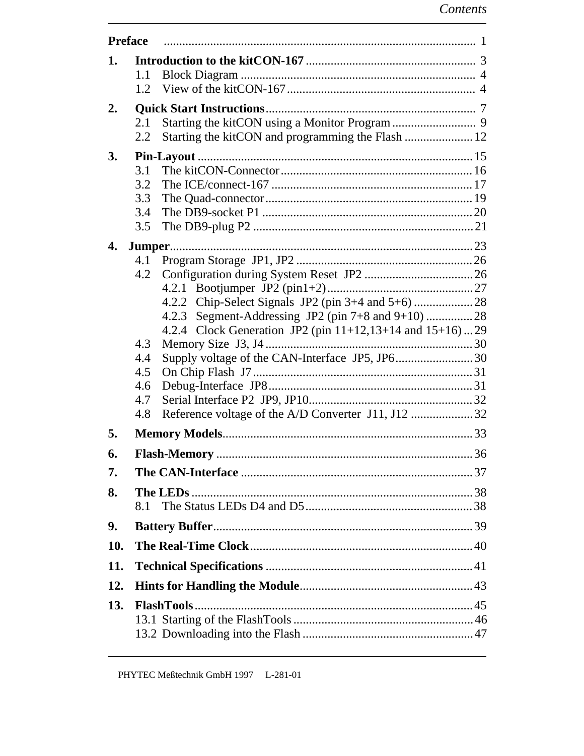|     | <b>Preface</b>                                            |  |
|-----|-----------------------------------------------------------|--|
| 1.  |                                                           |  |
|     |                                                           |  |
| 2.  |                                                           |  |
|     | 2.1                                                       |  |
|     | Starting the kitCON and programming the Flash  12<br>2.2  |  |
| 3.  |                                                           |  |
|     | 3.1                                                       |  |
|     | 3.2<br>3.3                                                |  |
|     | 3.4                                                       |  |
|     | 3.5                                                       |  |
|     |                                                           |  |
| 4.  |                                                           |  |
|     | 4.1<br>4.2                                                |  |
|     |                                                           |  |
|     |                                                           |  |
|     |                                                           |  |
|     | 4.2.4 Clock Generation JP2 (pin 11+12,13+14 and 15+16)29  |  |
|     | 4.3                                                       |  |
|     | 4.4<br>Supply voltage of the CAN-Interface JP5, JP630     |  |
|     | 4.5                                                       |  |
|     | 4.6                                                       |  |
|     | 4.7                                                       |  |
|     | Reference voltage of the A/D Converter J11, J12 32<br>4.8 |  |
| 5.  |                                                           |  |
| 6.  |                                                           |  |
| 7.  |                                                           |  |
| 8.  |                                                           |  |
|     | 8.1                                                       |  |
| 9.  |                                                           |  |
| 10. |                                                           |  |
| 11. |                                                           |  |
| 12. |                                                           |  |
| 13. |                                                           |  |
|     |                                                           |  |
|     |                                                           |  |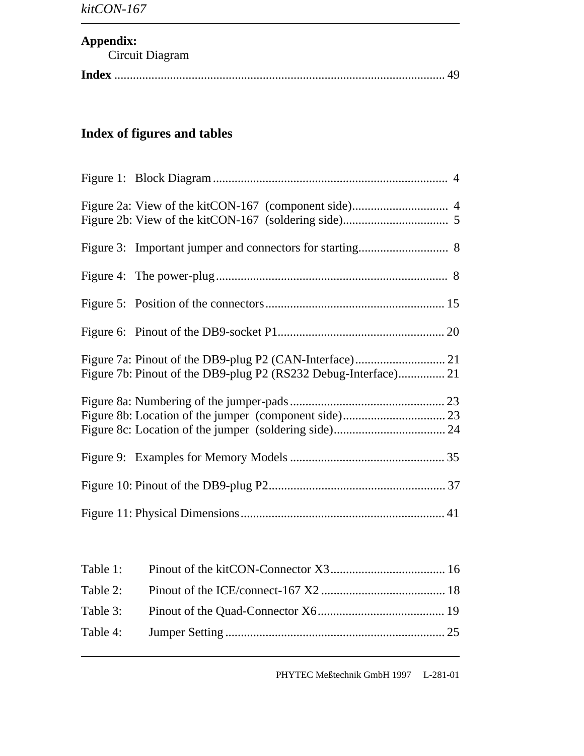#### **Appendix:**

| Circuit Diagram |  |
|-----------------|--|
| <b>Index</b>    |  |

## **Index of figures and tables**

| Figure 7b: Pinout of the DB9-plug P2 (RS232 Debug-Interface) 21 |  |
|-----------------------------------------------------------------|--|
|                                                                 |  |
|                                                                 |  |
|                                                                 |  |
|                                                                 |  |
|                                                                 |  |
|                                                                 |  |
|                                                                 |  |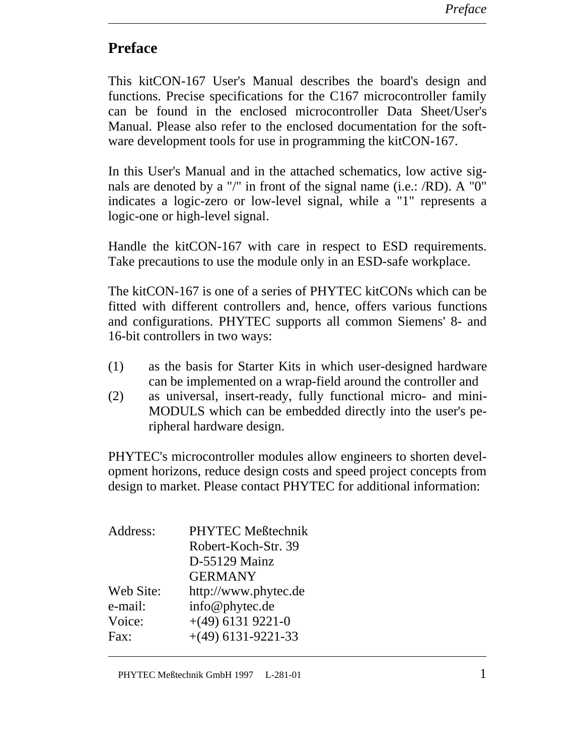## **Preface**

This kitCON-167 User's Manual describes the board's design and functions. Precise specifications for the C167 microcontroller family can be found in the enclosed microcontroller Data Sheet/User's Manual. Please also refer to the enclosed documentation for the software development tools for use in programming the kitCON-167.

In this User's Manual and in the attached schematics, low active signals are denoted by a "/" in front of the signal name (i.e.: /RD). A "0" indicates a logic-zero or low-level signal, while a "1" represents a logic-one or high-level signal.

Handle the kitCON-167 with care in respect to ESD requirements. Take precautions to use the module only in an ESD-safe workplace.

The kitCON-167 is one of a series of PHYTEC kitCONs which can be fitted with different controllers and, hence, offers various functions and configurations. PHYTEC supports all common Siemens' 8- and 16-bit controllers in two ways:

- (1) as the basis for Starter Kits in which user-designed hardware can be implemented on a wrap-field around the controller and
- (2) as universal, insert-ready, fully functional micro- and mini-MODULS which can be embedded directly into the user's peripheral hardware design.

PHYTEC's microcontroller modules allow engineers to shorten development horizons, reduce design costs and speed project concepts from design to market. Please contact PHYTEC for additional information:

| Address:      | <b>PHYTEC Meßtechnik</b> |
|---------------|--------------------------|
|               | Robert-Koch-Str. 39      |
|               | D-55129 Mainz            |
|               | <b>GERMANY</b>           |
| Web Site:     | http://www.phytec.de     |
| e-mail:       | info@phytec.de           |
| Voice:        | $+(49)$ 6131 9221-0      |
| $\text{Fax}:$ | $+(49)$ 6131-9221-33     |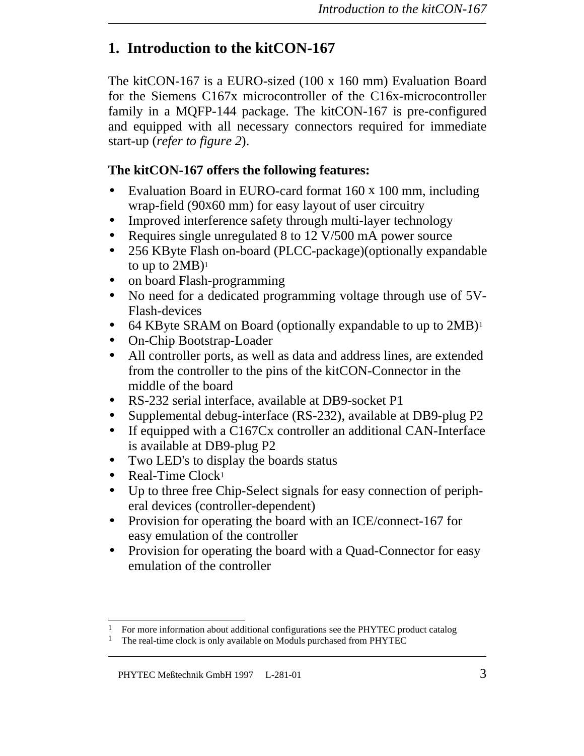## **1. Introduction to the kitCON-167**

The kitCON-167 is a EURO-sized (100 x 160 mm) Evaluation Board for the Siemens C167x microcontroller of the C16x-microcontroller family in a MQFP-144 package. The kitCON-167 is pre-configured and equipped with all necessary connectors required for immediate start-up (*refer to figure 2*).

#### **The kitCON-167 offers the following features:**

- Evaluation Board in EURO-card format 160 x 100 mm, including wrap-field (90x60 mm) for easy layout of user circuitry
- Improved interference safety through multi-layer technology
- Requires single unregulated 8 to 12 V/500 mA power source
- 256 KByte Flash on-board (PLCC-package)(optionally expandable to up to 2MB)1
- on board Flash-programming
- No need for a dedicated programming voltage through use of 5V-Flash-devices
- 64 KByte SRAM on Board (optionally expandable to up to 2MB)1
- On-Chip Bootstrap-Loader
- All controller ports, as well as data and address lines, are extended from the controller to the pins of the kitCON-Connector in the middle of the board
- RS-232 serial interface, available at DB9-socket P1
- Supplemental debug-interface (RS-232), available at DB9-plug P2
- If equipped with a C167Cx controller an additional CAN-Interface is available at DB9-plug P2
- Two LED's to display the boards status
- Real-Time Clock<sup>1</sup>

- Up to three free Chip-Select signals for easy connection of peripheral devices (controller-dependent)
- Provision for operating the board with an ICE/connect-167 for easy emulation of the controller
- Provision for operating the board with a Quad-Connector for easy emulation of the controller

l <sup>1</sup> For more information about additional configurations see the PHYTEC product catalog  $\frac{1}{\sqrt{1-\frac{1}{n}}}$  The real-time clock is only available on Moduls purchased from PHYTEC

The real-time clock is only available on Moduls purchased from PHYTEC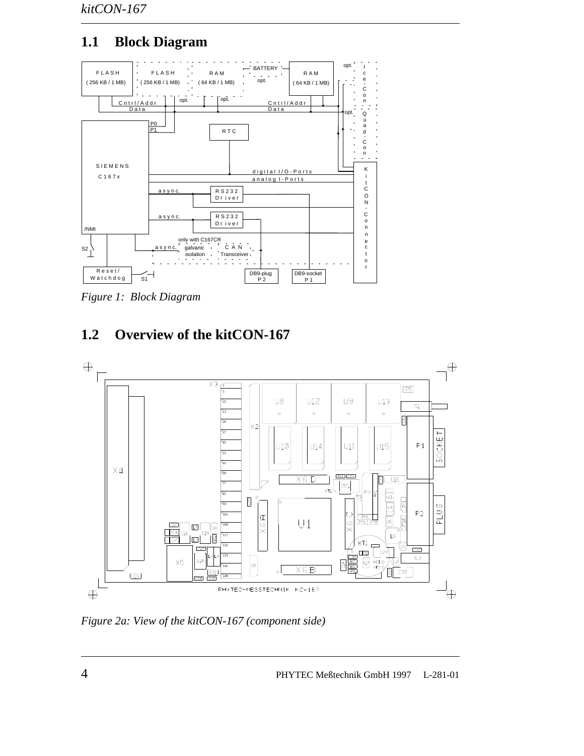## **1.1 Block Diagram**



*Figure 1: Block Diagram*

## **1.2 Overview of the kitCON-167**



*Figure 2a: View of the kitCON-167 (component side)*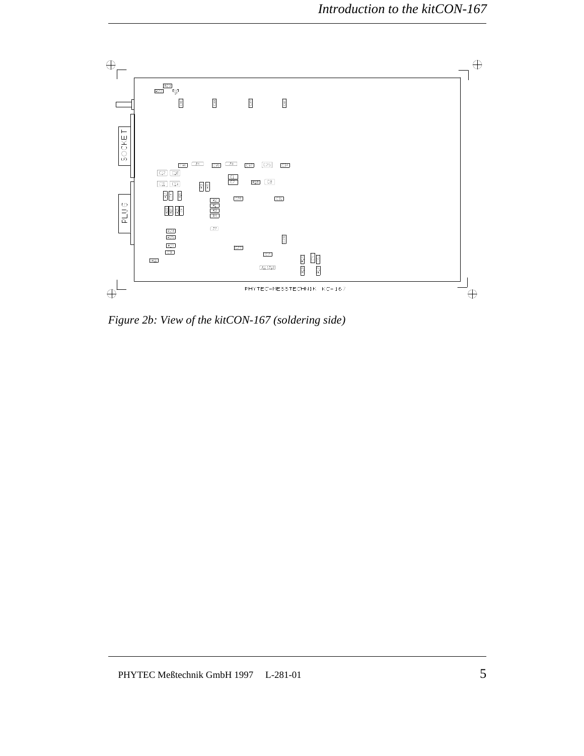

*Figure 2b: View of the kitCON-167 (soldering side)*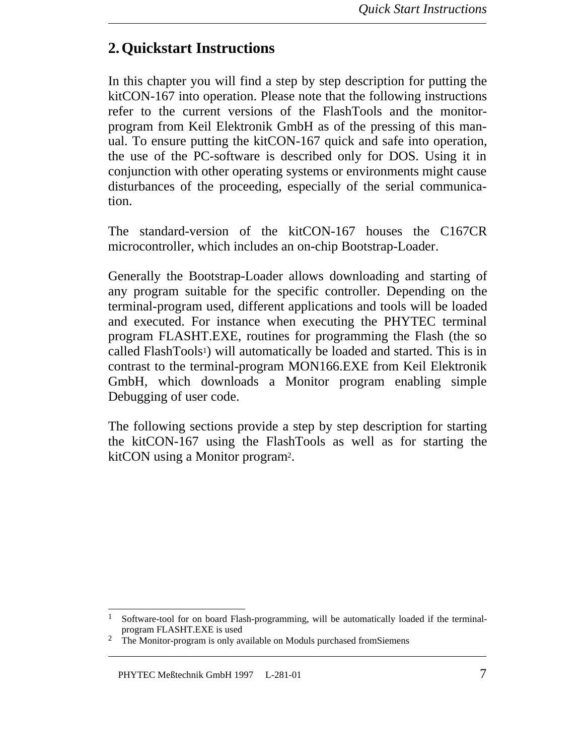## **2. Quickstart Instructions**

In this chapter you will find a step by step description for putting the kitCON-167 into operation. Please note that the following instructions refer to the current versions of the FlashTools and the monitorprogram from Keil Elektronik GmbH as of the pressing of this manual. To ensure putting the kitCON-167 quick and safe into operation, the use of the PC-software is described only for DOS. Using it in conjunction with other operating systems or environments might cause disturbances of the proceeding, especially of the serial communication.

The standard-version of the kitCON-167 houses the C167CR microcontroller, which includes an on-chip Bootstrap-Loader.

Generally the Bootstrap-Loader allows downloading and starting of any program suitable for the specific controller. Depending on the terminal-program used, different applications and tools will be loaded and executed. For instance when executing the PHYTEC terminal program FLASHT.EXE, routines for programming the Flash (the so called FlashTools1) will automatically be loaded and started. This is in contrast to the terminal-program MON166.EXE from Keil Elektronik GmbH, which downloads a Monitor program enabling simple Debugging of user code.

The following sections provide a step by step description for starting the kitCON-167 using the FlashTools as well as for starting the kitCON using a Monitor program2.

l

<sup>1</sup> Software-tool for on board Flash-programming, will be automatically loaded if the terminalprogram FLASHT.EXE is used

The Monitor-program is only available on Moduls purchased fromSiemens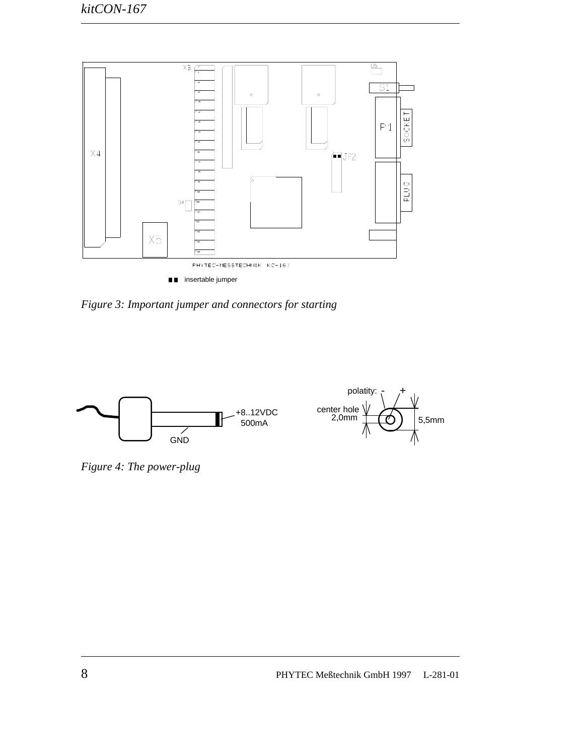![](_page_11_Figure_1.jpeg)

*Figure 3: Important jumper and connectors for starting*

![](_page_11_Figure_3.jpeg)

*Figure 4: The power-plug*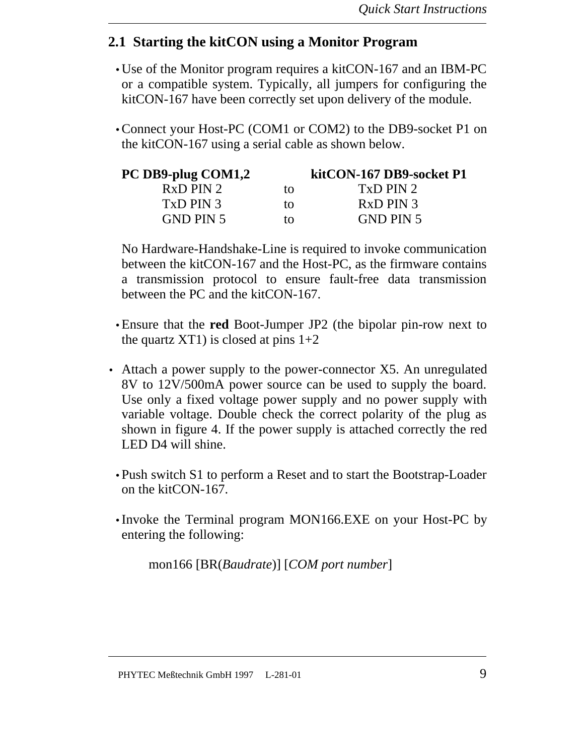#### **2.1 Starting the kitCON using a Monitor Program**

- Use of the Monitor program requires a kitCON-167 and an IBM-PC or a compatible system. Typically, all jumpers for configuring the kitCON-167 have been correctly set upon delivery of the module.
- Connect your Host-PC (COM1 or COM2) to the DB9-socket P1 on the kitCON-167 using a serial cable as shown below.

| PC DB9-plug COM1,2     |    | kitCON-167 DB9-socket P1 |
|------------------------|----|--------------------------|
| R <sub>x</sub> D PIN 2 | tΩ | T <sub>x</sub> D PIN 2   |
| T <sub>x</sub> D PIN 3 | tΩ | R <sub>x</sub> D PIN 3   |
| GND PIN 5              | tΩ | GND PIN 5                |

No Hardware-Handshake-Line is required to invoke communication between the kitCON-167 and the Host-PC, as the firmware contains a transmission protocol to ensure fault-free data transmission between the PC and the kitCON-167.

- Ensure that the **red** Boot-Jumper JP2 (the bipolar pin-row next to the quartz  $XT1$ ) is closed at pins  $1+2$
- Attach a power supply to the power-connector X5. An unregulated 8V to 12V/500mA power source can be used to supply the board. Use only a fixed voltage power supply and no power supply with variable voltage. Double check the correct polarity of the plug as shown in figure 4. If the power supply is attached correctly the red LED D4 will shine.
	- Push switch S1 to perform a Reset and to start the Bootstrap-Loader on the kitCON-167.
	- Invoke the Terminal program MON166.EXE on your Host-PC by entering the following:

mon166 [BR(*Baudrate*)] [*COM port number*]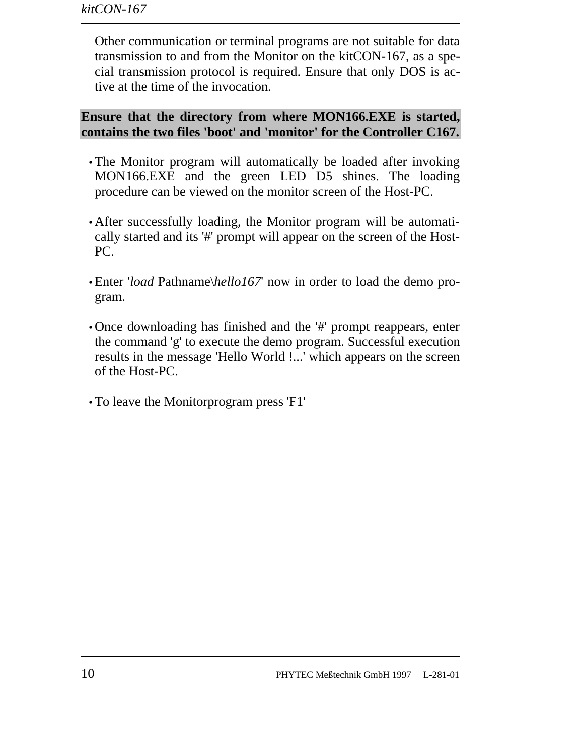Other communication or terminal programs are not suitable for data transmission to and from the Monitor on the kitCON-167, as a special transmission protocol is required. Ensure that only DOS is active at the time of the invocation.

#### **Ensure that the directory from where MON166.EXE is started, contains the two files 'boot' and 'monitor' for the Controller C167.**

- The Monitor program will automatically be loaded after invoking MON166.EXE and the green LED D5 shines. The loading procedure can be viewed on the monitor screen of the Host-PC.
- After successfully loading, the Monitor program will be automatically started and its '#' prompt will appear on the screen of the Host-PC.
- Enter '*load* Pathname\*hello167*' now in order to load the demo program.
- Once downloading has finished and the '#' prompt reappears, enter the command 'g' to execute the demo program. Successful execution results in the message 'Hello World !...' which appears on the screen of the Host-PC.
- To leave the Monitorprogram press 'F1'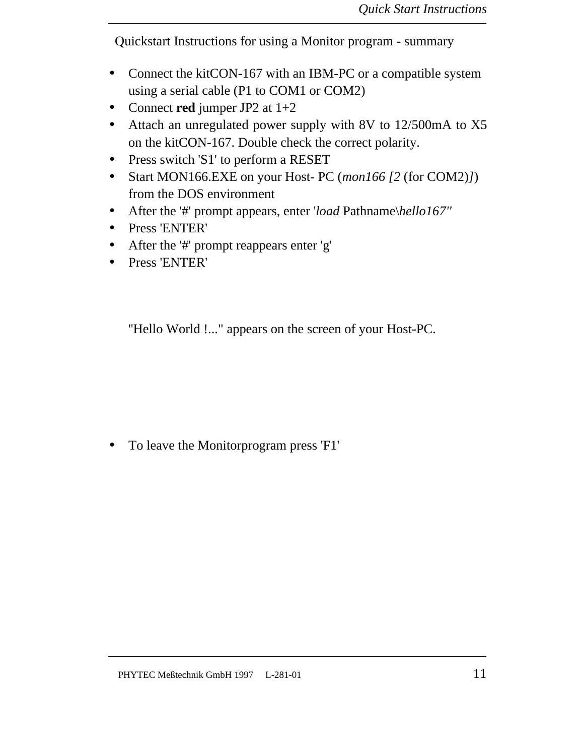Quickstart Instructions for using a Monitor program - summary

- Connect the kitCON-167 with an IBM-PC or a compatible system using a serial cable (P1 to COM1 or COM2)
- Connect **red** jumper JP2 at 1+2
- Attach an unregulated power supply with 8V to 12/500mA to X5 on the kitCON-167. Double check the correct polarity.
- Press switch 'S1' to perform a RESET
- Start MON166.EXE on your Host- PC (*mon166 [2* (for COM2)*]*) from the DOS environment
- After the '#' prompt appears, enter '*load* Pathname\*hello167''*
- Press 'ENTER'
- After the '#' prompt reappears enter 'g'
- Press 'ENTER'

''Hello World !..." appears on the screen of your Host-PC.

• To leave the Monitorprogram press 'F1'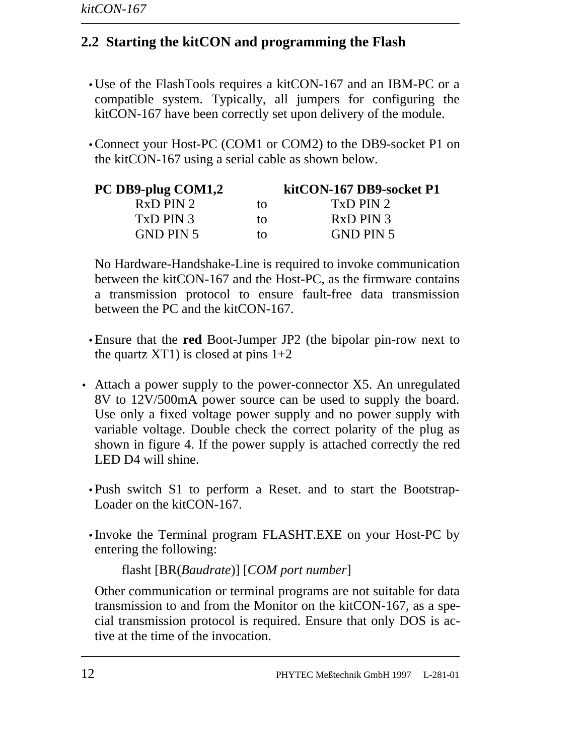## **2.2 Starting the kitCON and programming the Flash**

- Use of the FlashTools requires a kitCON-167 and an IBM-PC or a compatible system. Typically, all jumpers for configuring the kitCON-167 have been correctly set upon delivery of the module.
- Connect your Host-PC (COM1 or COM2) to the DB9-socket P1 on the kitCON-167 using a serial cable as shown below.

| PC DB9-plug COM1,2     |    | kitCON-167 DB9-socket P1 |
|------------------------|----|--------------------------|
| $RxD$ PIN 2            | tΩ | T <sub>x</sub> D PIN 2   |
| T <sub>x</sub> D PIN 3 | tΩ | R <sub>x</sub> D PIN 3   |
| GND PIN 5              | tΩ | GND PIN 5                |

No Hardware-Handshake-Line is required to invoke communication between the kitCON-167 and the Host-PC, as the firmware contains a transmission protocol to ensure fault-free data transmission between the PC and the kitCON-167.

- Ensure that the **red** Boot-Jumper JP2 (the bipolar pin-row next to the quartz  $XT1$ ) is closed at pins  $1+2$
- Attach a power supply to the power-connector X5. An unregulated 8V to 12V/500mA power source can be used to supply the board. Use only a fixed voltage power supply and no power supply with variable voltage. Double check the correct polarity of the plug as shown in figure 4. If the power supply is attached correctly the red LED D4 will shine.
	- Push switch S1 to perform a Reset. and to start the Bootstrap-Loader on the kitCON-167.
	- Invoke the Terminal program FLASHT.EXE on your Host-PC by entering the following:

flasht [BR(*Baudrate*)] [*COM port number*]

Other communication or terminal programs are not suitable for data transmission to and from the Monitor on the kitCON-167, as a special transmission protocol is required. Ensure that only DOS is active at the time of the invocation.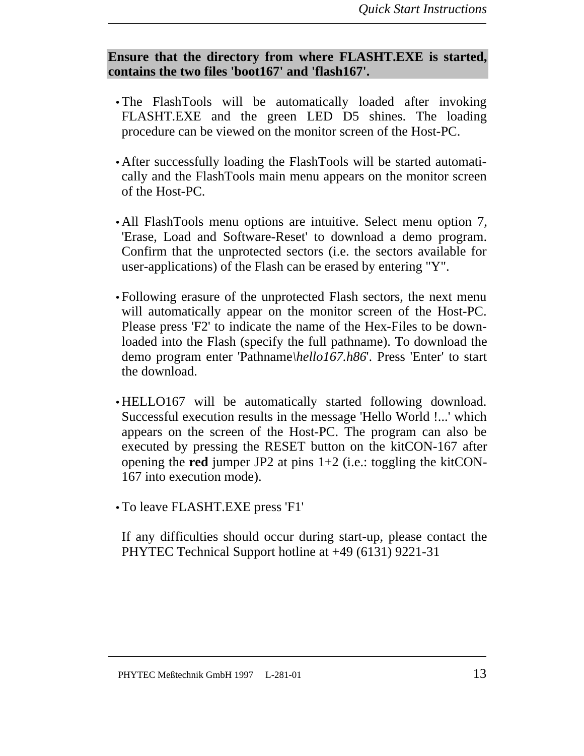#### **Ensure that the directory from where FLASHT.EXE is started, contains the two files 'boot167' and 'flash167'.**

- The FlashTools will be automatically loaded after invoking FLASHT.EXE and the green LED D5 shines. The loading procedure can be viewed on the monitor screen of the Host-PC.
- After successfully loading the FlashTools will be started automatically and the FlashTools main menu appears on the monitor screen of the Host-PC.
- All FlashTools menu options are intuitive. Select menu option 7, 'Erase, Load and Software-Reset' to download a demo program. Confirm that the unprotected sectors (i.e. the sectors available for user-applications) of the Flash can be erased by entering "Y".
- Following erasure of the unprotected Flash sectors, the next menu will automatically appear on the monitor screen of the Host-PC. Please press 'F2' to indicate the name of the Hex-Files to be downloaded into the Flash (specify the full pathname). To download the demo program enter 'Pathname*\hello167.h86*'. Press 'Enter' to start the download.
- HELLO167 will be automatically started following download. Successful execution results in the message 'Hello World !...' which appears on the screen of the Host-PC. The program can also be executed by pressing the RESET button on the kitCON-167 after opening the **red** jumper JP2 at pins 1+2 (i.e.: toggling the kitCON-167 into execution mode).
- To leave FLASHT.EXE press 'F1'

If any difficulties should occur during start-up, please contact the PHYTEC Technical Support hotline at +49 (6131) 9221-31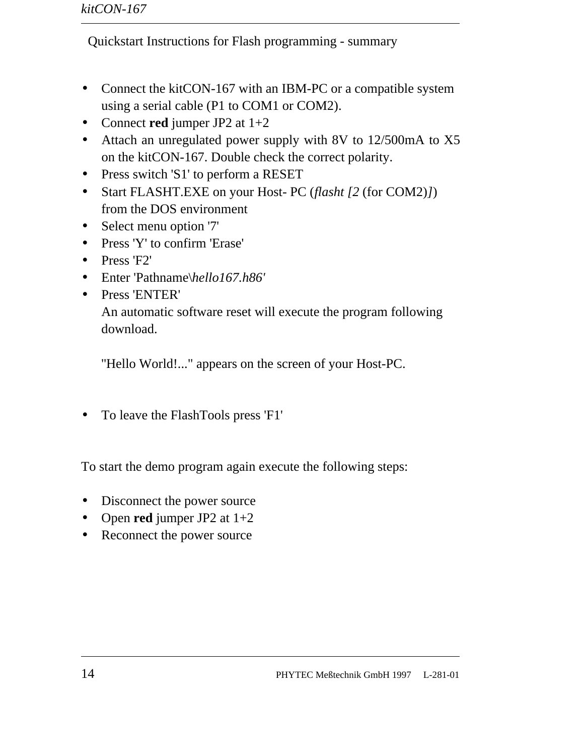Quickstart Instructions for Flash programming - summary

- Connect the kitCON-167 with an IBM-PC or a compatible system using a serial cable (P1 to COM1 or COM2).
- Connect **red** jumper JP2 at 1+2
- Attach an unregulated power supply with 8V to 12/500mA to X5 on the kitCON-167. Double check the correct polarity.
- Press switch 'S1' to perform a RESET
- Start FLASHT.EXE on your Host- PC (*flasht [2* (for COM2)*]*) from the DOS environment
- Select menu option '7'
- Press 'Y' to confirm 'Erase'
- Press 'F2'
- Enter 'Pathname\*hello167.h86'*
- Press 'ENTER'

An automatic software reset will execute the program following download.

''Hello World!..." appears on the screen of your Host-PC.

• To leave the FlashTools press 'F1'

To start the demo program again execute the following steps:

- Disconnect the power source
- Open **red** jumper JP2 at 1+2
- Reconnect the power source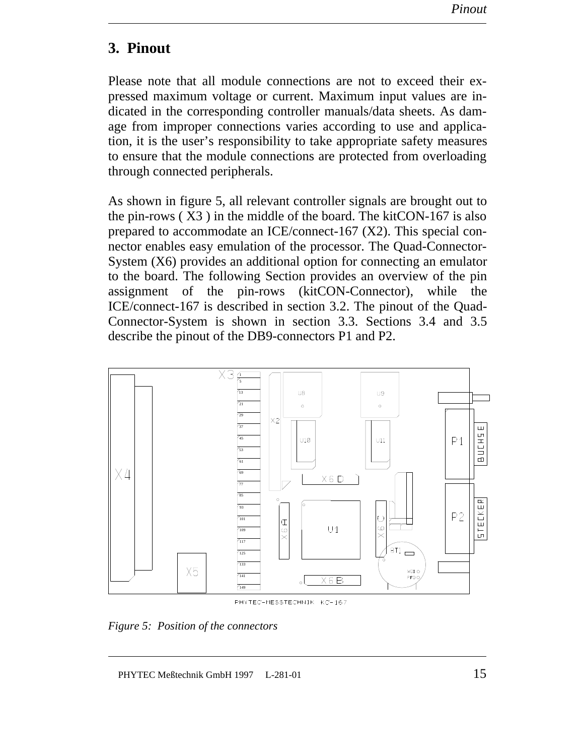## **3. Pinout**

Please note that all module connections are not to exceed their expressed maximum voltage or current. Maximum input values are indicated in the corresponding controller manuals/data sheets. As damage from improper connections varies according to use and application, it is the user's responsibility to take appropriate safety measures to ensure that the module connections are protected from overloading through connected peripherals.

As shown in figure 5, all relevant controller signals are brought out to the pin-rows ( X3 ) in the middle of the board. The kitCON-167 is also prepared to accommodate an ICE/connect-167 (X2). This special connector enables easy emulation of the processor. The Quad-Connector-System (X6) provides an additional option for connecting an emulator to the board. The following Section provides an overview of the pin assignment of the pin-rows (kitCON-Connector), while the ICE/connect-167 is described in section 3.2. The pinout of the Quad-Connector-System is shown in section 3.3. Sections 3.4 and 3.5 describe the pinout of the DB9-connectors P1 and P2.

![](_page_18_Figure_4.jpeg)

PHYTEC-MESSTECHNIK KC-167

*Figure 5: Position of the connectors*

 $\circ$  PHYTEC Meßtechnik GmbH 1997 L-281-01 15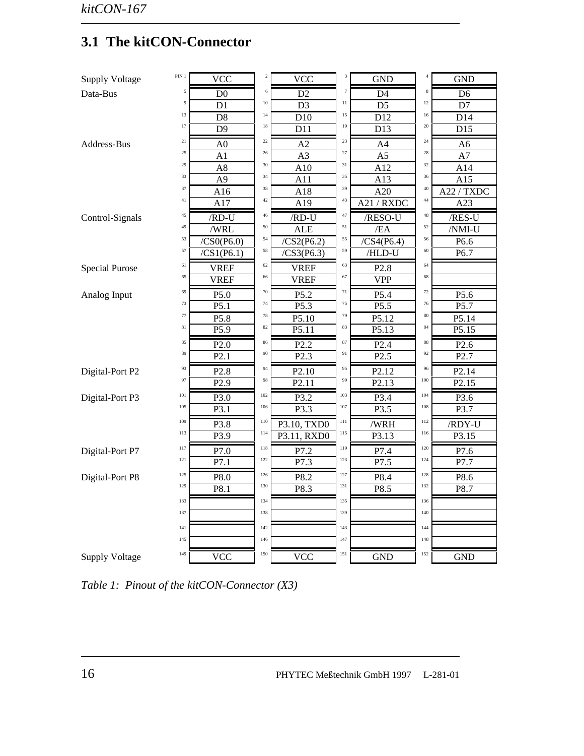## **3.1 The kitCON-Connector**

| PIN 1<br>$\sqrt{2}$<br>$\overline{3}$<br><b>VCC</b><br><b>VCC</b><br><b>GND</b><br><b>Supply Voltage</b> | $\overline{4}$<br><b>GND</b>              |
|----------------------------------------------------------------------------------------------------------|-------------------------------------------|
| $\overline{7}$<br>5<br>6<br>D2<br>Data-Bus<br>D <sub>0</sub><br>D <sub>4</sub>                           | $\overline{\mathbf{8}}$<br>D <sub>6</sub> |
| 10<br>11<br>9<br>D <sub>1</sub><br>D <sub>3</sub><br>D <sub>5</sub>                                      | 12<br>D7                                  |
| 13<br>14<br>15<br>D10<br>D <sub>12</sub><br>D <sub>8</sub>                                               | 16<br>D14                                 |
| 19<br>17<br>18<br>D11<br>D13<br>D <sub>9</sub>                                                           | 20<br>D15                                 |
| 23<br>21<br>22<br>Address-Bus<br>A2<br>A <sub>0</sub><br>A <sub>4</sub>                                  | 24<br>A <sub>6</sub>                      |
| 27<br>25<br>26<br>$\overline{A3}$<br>A <sub>5</sub><br>A <sub>1</sub>                                    | 28<br>A7                                  |
| 31<br>29<br>30<br>A8<br>A10<br>A12                                                                       | 32<br>A14                                 |
| 35<br>33<br>34<br>$\overline{A9}$<br>A11<br>A13                                                          | 36<br>A15                                 |
| 39<br>37<br>38<br>A16<br>A18<br>A20                                                                      | 40<br>A22 / TXDC                          |
| 42<br>43<br>41<br>A19<br>A21 / RXDC<br>A17                                                               | 44<br>A23                                 |
| 47<br>46<br>45<br>/RD-U<br>$/RD-U$<br>/RESO-U<br>Control-Signals                                         | 48<br>/RES-U                              |
| 50<br>51<br>49<br>/WRL<br><b>ALE</b><br>/EA                                                              | 52<br>/NMI-U                              |
| 55<br>53<br>54<br>/CSO(P6.0)<br>/CS2(P6.2)<br>/CS4(P6.4)                                                 | 56<br>P6.6                                |
| 59<br>57<br>58<br>/CS3(P6.3)<br>/HLD-U<br>/CS1(P6.1)                                                     | 60<br>P6.7                                |
| 63<br>61<br>62<br><b>Special Purose</b><br><b>VREF</b><br><b>VREF</b><br>P <sub>2.8</sub>                | 64                                        |
| 67<br>65<br>66<br><b>VPP</b><br><b>VREF</b><br><b>VREF</b>                                               | 68                                        |
| 71<br>69<br>$70\,$<br>Analog Input<br>P5.0<br>P5.2<br>P5.4                                               | $72\,$<br>P5.6                            |
| 74<br>75<br>73<br>P5.3<br>P5.5<br>P5.1                                                                   | 76<br>P5.7                                |
| 79<br>77<br>78<br>P5.8<br>P5.10<br>P5.12                                                                 | 80<br>P5.14                               |
| 82<br>$8\sqrt{1}$<br>83<br>P5.9<br>P5.11<br>P5.13                                                        | 84<br>P5.15                               |
| 87<br>85<br>86<br>P2.0<br>$P2.\overline{2}$<br>P <sub>2.4</sub>                                          | 88<br>P <sub>2.6</sub>                    |
| 90<br>91<br>89<br>P2.1<br>P <sub>2.3</sub><br>P <sub>2.5</sub>                                           | 92<br>P <sub>2.7</sub>                    |
| 93<br>94<br>95<br>P <sub>2.8</sub><br>P <sub>2.12</sub><br>P <sub>2.10</sub><br>Digital-Port P2          | 96<br>P <sub>2.14</sub>                   |
| 99<br>97<br>98<br>P <sub>2.9</sub><br>P <sub>2.11</sub><br>P <sub>2.13</sub>                             | 100<br>P <sub>2.15</sub>                  |
| 101<br>102<br>103<br>P3.0<br>P3.2<br>P3.4<br>Digital-Port P3                                             | 104<br>P3.6                               |
| 107<br>105<br>106<br>P3.1<br>P3.3<br>P3.5                                                                | 108<br>P3.7                               |
| 111<br>109<br>110<br>P3.8<br>P3.10, TXD0<br>/WRH                                                         | 112<br>/RDY-U                             |
| 115<br>113<br>114<br>P3.9<br>P3.11, RXD0<br>P3.13                                                        | 116<br>P3.15                              |
| 119<br>117<br>118<br>$\overline{P7.0}$<br>$\overline{P7.4}$<br>P7.2<br>Digital-Port P7                   | 120<br>P7.6                               |
| 122<br>123<br>121<br>P7.1<br>P7.3<br>P7.5                                                                | 124<br>P7.7                               |
| 127<br>125<br>126<br>P8.4<br>P8.0<br>P8.2<br>Digital-Port P8                                             | 128<br>P8.6                               |
| 131<br>130<br>129<br>P8.1<br>P8.3<br>P8.5                                                                | 132<br>P8.7                               |
| 135<br>133<br>134                                                                                        | 136                                       |
| 139<br>138<br>137                                                                                        | 140                                       |
| 143<br>141<br>142                                                                                        | 144                                       |
| 147<br>145<br>146                                                                                        | 148                                       |
|                                                                                                          |                                           |

*Table 1: Pinout of the kitCON-Connector (X3)*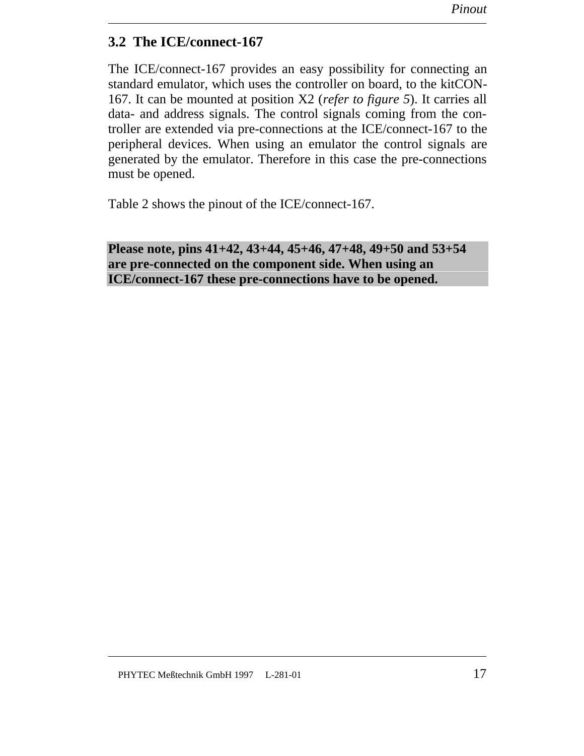#### **3.2 The ICE/connect-167**

The ICE/connect-167 provides an easy possibility for connecting an standard emulator, which uses the controller on board, to the kitCON-167. It can be mounted at position X2 (*refer to figure 5*). It carries all data- and address signals. The control signals coming from the controller are extended via pre-connections at the ICE/connect-167 to the peripheral devices. When using an emulator the control signals are generated by the emulator. Therefore in this case the pre-connections must be opened.

Table 2 shows the pinout of the ICE/connect-167.

**Please note, pins 41+42, 43+44, 45+46, 47+48, 49+50 and 53+54 are pre-connected on the component side. When using an ICE/connect-167 these pre-connections have to be opened.**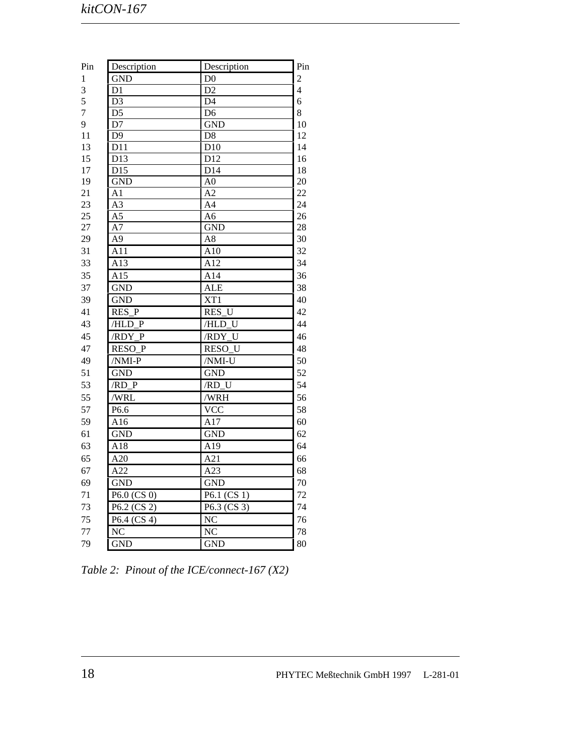| Pin            | Description                     | Description      | Pin                     |
|----------------|---------------------------------|------------------|-------------------------|
| 1              | <b>GND</b>                      | D <sub>0</sub>   | $\overline{c}$          |
| 3              | D <sub>1</sub>                  | D2               | $\overline{\mathbf{4}}$ |
| 5              | D <sub>3</sub>                  | D <sub>4</sub>   | 6                       |
| $\overline{7}$ | D <sub>5</sub>                  | D <sub>6</sub>   | 8                       |
| 9              | D <sub>7</sub>                  | <b>GND</b>       | 10                      |
| 11             | D <sub>9</sub>                  | D <sub>8</sub>   | 12                      |
| 13             | D11                             | D10              | 14                      |
| 15             | D13                             | D12              | 16                      |
| 17             | D15                             | D <sub>14</sub>  | 18                      |
| 19             | <b>GND</b>                      | $A\overline{0}$  | 20                      |
| 21             | $\overline{A1}$                 | $\overline{A2}$  | 22                      |
| 23             | A <sub>3</sub>                  | A <sub>4</sub>   | 24                      |
| 25             | $A\overline{5}$                 | A6               | 26                      |
| 27             | $A\overline{7}$                 | <b>GND</b>       | 28                      |
| 29             | A <sub>9</sub>                  | A8               | 30                      |
| 31             | A11                             | A10              | 32                      |
| 33             | A13                             | A12              | 34                      |
| 35             | A15                             | A14              | 36                      |
| 37             | <b>GND</b>                      | <b>ALE</b>       | 38                      |
| 39             | $GN\overline{D}$                | $\overline{XT1}$ | 40                      |
| 41             | <b>RES P</b>                    | RES_U            | 42                      |
| 43             | /HLD P                          | /HLD_U           | 44                      |
| 45             | /RDY P                          | /RDY_U           | 46                      |
| 47             | RESO_P                          | RESO_U           | 48                      |
| 49             | /NMI-P                          | /NMI-U           | 50                      |
| 51             | <b>GND</b>                      | <b>GND</b>       | 52                      |
| 53             | (RD P)                          | /RD U            | 54                      |
| 55             | /WRL                            | /WRH             | 56                      |
| 57             | P6.6                            | $\overline{VCC}$ | 58                      |
| 59             | A16                             | A17              | 60                      |
| 61             | <b>GND</b>                      | <b>GND</b>       | 62                      |
| 63             | A18                             | A19              | 64                      |
| 65             | A20                             |                  | 66                      |
|                | $\overline{A22}$                | A21<br>A23       |                         |
| 67             |                                 |                  | 68                      |
| 69             | <b>GND</b>                      | <b>GND</b>       | 70                      |
| 71             | $P6.0$ (CS 0)                   | P6.1 (CS 1)      | 72                      |
| 73             | P6.2 $(\overline{\text{CS 2}})$ | P6.3 (CS 3)      | 74                      |
| 75             | P6.4 (CS 4)                     | NC               | 76                      |
| 77             | $\overline{\text{NC}}$          | N <sub>C</sub>   | 78                      |
| 79             | <b>GND</b>                      | <b>GND</b>       | 80                      |

*Table 2: Pinout of the ICE/connect-167 (X2)*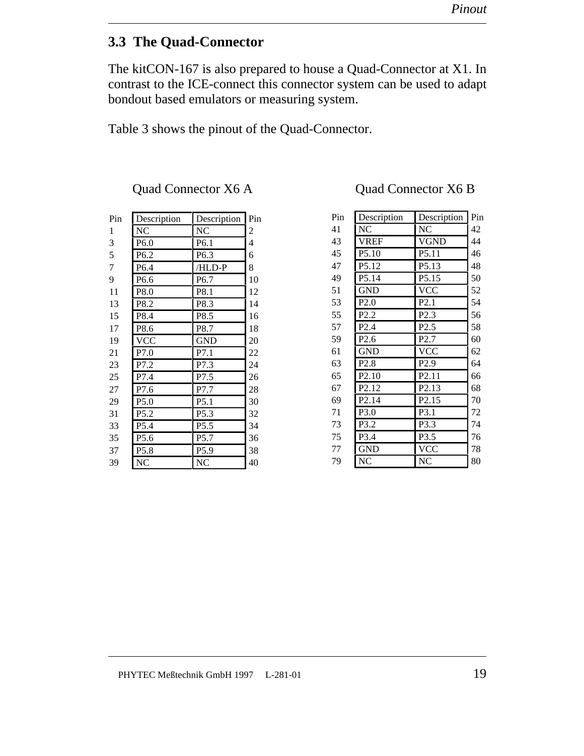## **3.3 The Quad-Connector**

The kitCON-167 is also prepared to house a Quad-Connector at X1. In contrast to the ICE-connect this connector system can be used to adapt bondout based emulators or measuring system.

Table 3 shows the pinout of the Quad-Connector.

| Pin            | Description      | Description      | Pin |
|----------------|------------------|------------------|-----|
| 1              | NC               | NC               | 2   |
| 3              | P6.0             | P6.1             | 4   |
| 5              | P6.2             | P6.3             | 6   |
| $\overline{7}$ | P <sub>6.4</sub> | /HLD-P           | 8   |
| 9              | P6.6             | P6.7             | 10  |
| 11             | P8.0             | P8.1             | 12  |
| 13             | P8.2             | P8.3             | 14  |
| 15             | P8.4             | P8.5             | 16  |
| 17             | P8.6             | P8.7             | 18  |
| 19             | <b>VCC</b>       | <b>GND</b>       | 20  |
| 21             | P7.0             | P7.1             | 22  |
| 23             | P7.2             | P7.3             | 24  |
| 25             | P7.4             | P7.5             | 26  |
| 27             | P7.6             | P7.7             | 28  |
| 29             | P5.0             | P5.1             | 30  |
| 31             | P5.2             | P5.3             | 32  |
| 33             | P <sub>5.4</sub> | P5.5             | 34  |
| 35             | P5.6             | P <sub>5.7</sub> | 36  |
| 37             | P5.8             | P <sub>5.9</sub> | 38  |
| 39             | NC               | NC               | 40  |

#### Quad Connector X6 A Quad Connector X6 B

| Pin | Description       | Description       | Pin |
|-----|-------------------|-------------------|-----|
| 41  | NC                | NC                | 42  |
| 43  | <b>VREF</b>       | <b>VGND</b>       | 44  |
| 45  | P5.10             | P5.11             | 46  |
| 47  | P5.12             | P <sub>5.13</sub> | 48  |
| 49  | P5.14             | P5.15             | 50  |
| 51  | <b>GND</b>        | <b>VCC</b>        | 52  |
| 53  | P <sub>2.0</sub>  | P <sub>2.1</sub>  | 54  |
| 55  | P <sub>2.2</sub>  | P <sub>2.3</sub>  | 56  |
| 57  | P2.4              | P <sub>2.5</sub>  | 58  |
| 59  | P <sub>2.6</sub>  | P <sub>2.7</sub>  | 60  |
| 61  | GND               | <b>VCC</b>        | 62  |
| 63  | P <sub>2.8</sub>  | P <sub>2.9</sub>  | 64  |
| 65  | P <sub>2.10</sub> | P <sub>2.11</sub> | 66  |
| 67  | P <sub>2.12</sub> | P <sub>2.13</sub> | 68  |
| 69  | P <sub>2.14</sub> | P <sub>2.15</sub> | 70  |
| 71  | P3.0              | P3.1              | 72  |
| 73  | P3.2              | P3.3              | 74  |
| 75  | P3.4              | P3.5              | 76  |
| 77  | <b>GND</b>        | <b>VCC</b>        | 78  |
| 79  | N <sub>C</sub>    | N <sub>C</sub>    | 80  |
|     |                   |                   |     |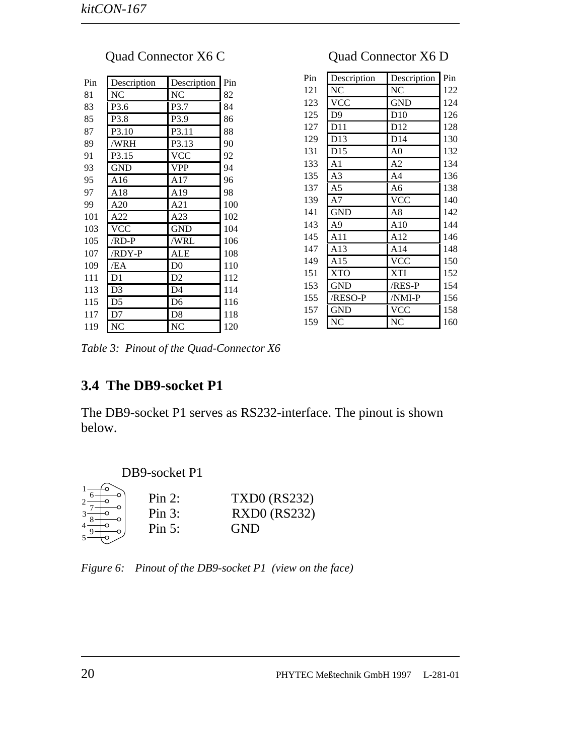#### Quad Connector X6 C

| Pin | Description      | Description    | Pin |
|-----|------------------|----------------|-----|
| 81  | NC               | NC             | 82  |
| 83  | P3.6             | P3.7           | 84  |
| 85  | P <sub>3.8</sub> | P3.9           | 86  |
| 87  | P3.10            | P3.11          | 88  |
| 89  | /WRH             | P3.13          | 90  |
| 91  | P3.15            | <b>VCC</b>     | 92  |
| 93  | <b>GND</b>       | <b>VPP</b>     | 94  |
| 95  | A16              | A17            | 96  |
| 97  | A18              | A19            | 98  |
| 99  | A20              | A21            | 100 |
| 101 | A22              | A23            | 102 |
| 103 | VCC              | <b>GND</b>     | 104 |
| 105 | /RD-P            | /WRL           | 106 |
| 107 | /RDY-P           | <b>ALE</b>     | 108 |
| 109 | /EA              | D <sub>0</sub> | 110 |
| 111 | D1               | D <sub>2</sub> | 112 |
| 113 | D3               | D <sub>4</sub> | 114 |
| 115 | D <sub>5</sub>   | D <sub>6</sub> | 116 |
| 117 | D7               | D <sub>8</sub> | 118 |
| 119 | NC               | NC             | 120 |

| Quad Connector X6 D |                                 |    |     |  |  |
|---------------------|---------------------------------|----|-----|--|--|
|                     | Pin Description Description Pin |    |     |  |  |
| 121                 | I NC                            | NC | 122 |  |  |

| Pin | Description     | Description     | Pin |
|-----|-----------------|-----------------|-----|
| 121 | NC              | NC              | 122 |
| 123 | VCC             | <b>GND</b>      | 124 |
| 125 | D <sub>9</sub>  | D10             | 126 |
| 127 | D11             | D <sub>12</sub> | 128 |
| 129 | D <sub>13</sub> | D <sub>14</sub> | 130 |
| 131 | D15             | A0              | 132 |
| 133 | A1              | A <sub>2</sub>  | 134 |
| 135 | A3              | A4              | 136 |
| 137 | A <sub>5</sub>  | A6              | 138 |
| 139 | A7              | <b>VCC</b>      | 140 |
| 141 | GND             | A8              | 142 |
| 143 | A9              | A10             | 144 |
| 145 | A11             | A12             | 146 |
| 147 | A13             | A14             | 148 |
| 149 | A15             | <b>VCC</b>      | 150 |
| 151 | <b>XTO</b>      | <b>XTI</b>      | 152 |
| 153 | <b>GND</b>      | /RES-P          | 154 |
| 155 | /RESO-P         | /NMI-P          | 156 |
| 157 | GND             | VCC             | 158 |
| 159 | N <sub>C</sub>  | N <sub>C</sub>  | 160 |
|     |                 |                 |     |

*Table 3: Pinout of the Quad-Connector X6*

## **3.4 The DB9-socket P1**

The DB9-socket P1 serves as RS232-interface. The pinout is shown below.

DB9-socket P1

| Pin 2:   | <b>TXD0 (RS232)</b> |
|----------|---------------------|
| Pin $3:$ | <b>RXD0 (RS232)</b> |
| Pin 5:   | (iN!)               |
|          |                     |

*Figure 6: Pinout of the DB9-socket P1 (view on the face)*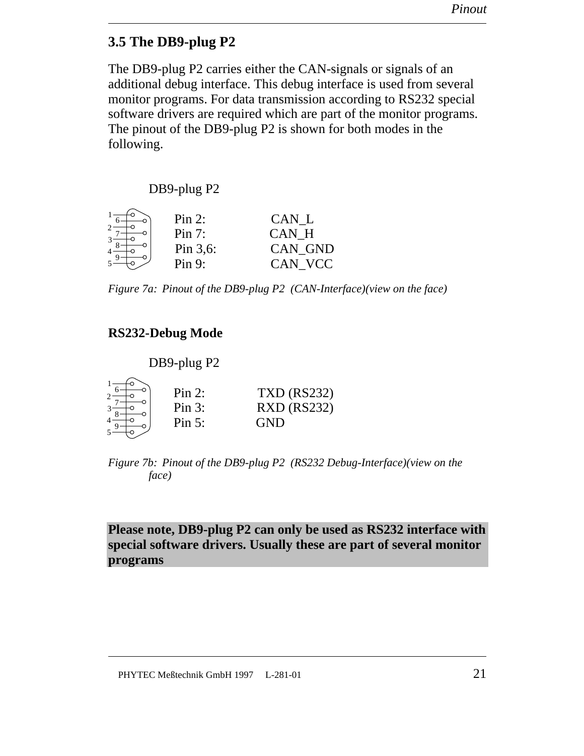#### **3.5 The DB9-plug P2**

The DB9-plug P2 carries either the CAN-signals or signals of an additional debug interface. This debug interface is used from several monitor programs. For data transmission according to RS232 special software drivers are required which are part of the monitor programs. The pinout of the DB9-plug P2 is shown for both modes in the following.

#### DB9-plug P2

| Pin 2:      | CAN L   |
|-------------|---------|
| Pin $7:$    | CAN H   |
| Pin $3,6$ : | CAN GND |
| Pin 9:      | CAN VCC |

*Figure 7a: Pinout of the DB9-plug P2 (CAN-Interface)(view on the face)*

#### **RS232-Debug Mode**

DB9-plug P2

| Pin 2:    | <b>TXD (RS232)</b>   |
|-----------|----------------------|
| Pin 3:    | $\text{RXD}$ (RS232) |
| Pin $5$ : | (iN!)                |
|           |                      |

*Figure 7b: Pinout of the DB9-plug P2 (RS232 Debug-Interface)(view on the face)*

**Please note, DB9-plug P2 can only be used as RS232 interface with special software drivers. Usually these are part of several monitor programs**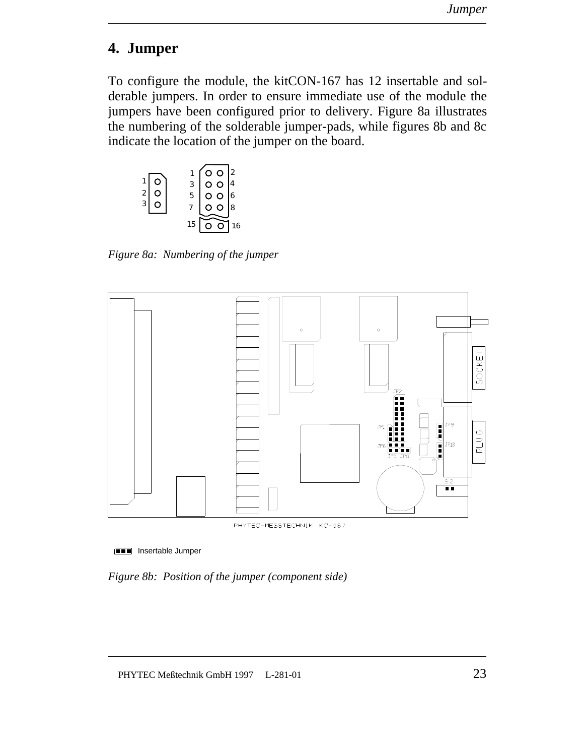#### **4. Jumper**

To configure the module, the kitCON-167 has 12 insertable and solderable jumpers. In order to ensure immediate use of the module the jumpers have been configured prior to delivery. Figure 8a illustrates the numbering of the solderable jumper-pads, while figures 8b and 8c indicate the location of the jumper on the board.

![](_page_26_Figure_3.jpeg)

*Figure 8a: Numbering of the jumper*

![](_page_26_Figure_5.jpeg)

![](_page_26_Figure_7.jpeg)

*Figure 8b: Position of the jumper (component side)*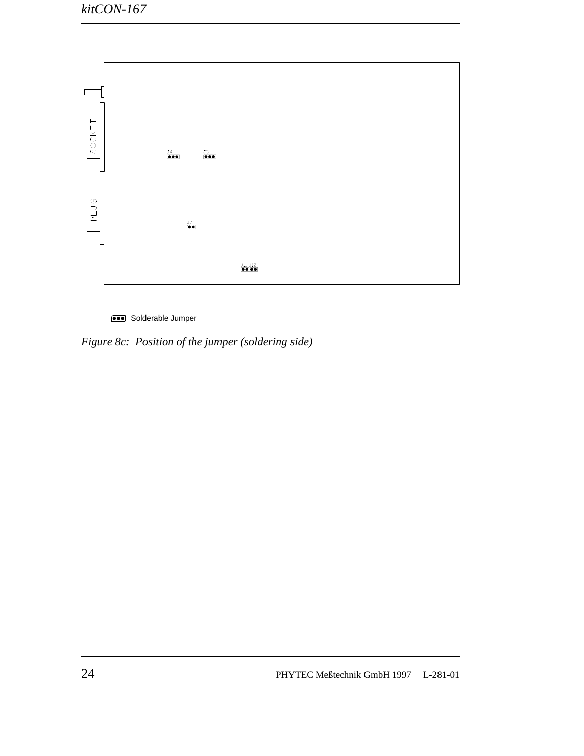![](_page_27_Figure_1.jpeg)

**solderable Jumper** 

*Figure 8c: Position of the jumper (soldering side)*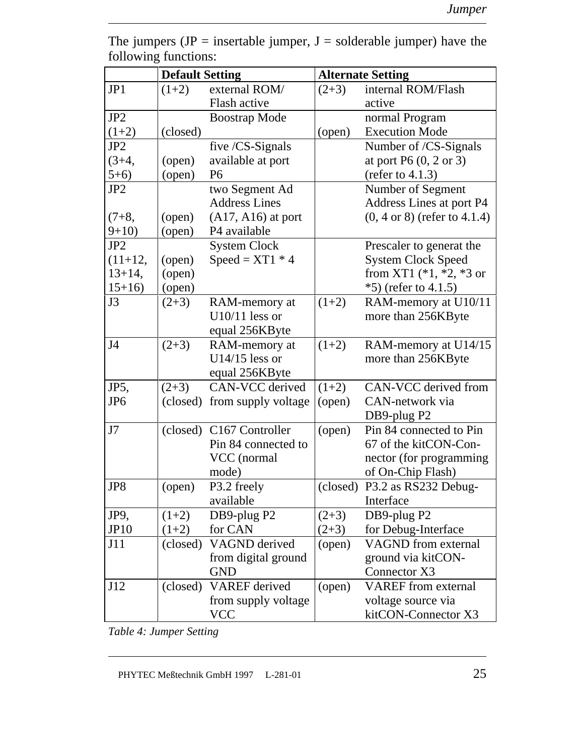| TOITO WIITZ TUITUUTIS.<br><b>Default Setting</b> |          |                          |         | <b>Alternate Setting</b>                |
|--------------------------------------------------|----------|--------------------------|---------|-----------------------------------------|
| JP1                                              | $(1+2)$  | external ROM/            | $(2+3)$ | internal ROM/Flash                      |
|                                                  |          | Flash active             |         | active                                  |
| JP2                                              |          |                          |         |                                         |
|                                                  |          | <b>Boostrap Mode</b>     |         | normal Program                          |
| $(1+2)$                                          | (closed) |                          | (open)  | <b>Execution Mode</b>                   |
| JP2                                              |          | five /CS-Signals         |         | Number of /CS-Signals                   |
| $(3+4,$                                          | (open)   | available at port        |         | at port P6 $(0, 2 \text{ or } 3)$       |
| $5+6$                                            | (open)   | P <sub>6</sub>           |         | (refer to $4.1.3$ )                     |
| JP <sub>2</sub>                                  |          | two Segment Ad           |         | Number of Segment                       |
|                                                  |          | <b>Address Lines</b>     |         | Address Lines at port P4                |
| $(7+8,$                                          | (open)   | $(A17, A16)$ at port     |         | $(0, 4 \text{ or } 8)$ (refer to 4.1.4) |
| $9+10$                                           | (open)   | P4 available             |         |                                         |
| JP <sub>2</sub>                                  |          | <b>System Clock</b>      |         | Prescaler to generat the                |
| $(11+12,$                                        | (open)   | $Speed = XT1 * 4$        |         | <b>System Clock Speed</b>               |
| $13+14,$                                         | (open)   |                          |         | from XT1 $(*1, *2, *3$ or               |
| $15+16$                                          | (open)   |                          |         | $*5$ ) (refer to 4.1.5)                 |
| J3                                               | $(2+3)$  | RAM-memory at            | $(1+2)$ | RAM-memory at U10/11                    |
|                                                  |          | $U10/11$ less or         |         | more than 256KByte                      |
|                                                  |          | equal 256KByte           |         |                                         |
| J <sub>4</sub>                                   | $(2+3)$  | RAM-memory at            | $(1+2)$ | RAM-memory at U14/15                    |
|                                                  |          | $U14/15$ less or         |         | more than 256KByte                      |
|                                                  |          | equal 256KByte           |         |                                         |
| JP5,                                             | $(2+3)$  | CAN-VCC derived          | $(1+2)$ | CAN-VCC derived from                    |
| JP <sub>6</sub>                                  | (closed) | from supply voltage      | (open)  | CAN-network via                         |
|                                                  |          |                          |         | DB9-plug P2                             |
| J7                                               |          | (closed) C167 Controller | (open)  | Pin 84 connected to Pin                 |
|                                                  |          | Pin 84 connected to      |         | 67 of the kitCON-Con-                   |
|                                                  |          | VCC (normal              |         | nector (for programming                 |
|                                                  |          | mode)                    |         | of On-Chip Flash)                       |
| JP8                                              | (open)   | P3.2 freely              |         | (closed) P3.2 as RS232 Debug-           |
|                                                  |          | available                |         | Interface                               |
| JP9,                                             | $(1+2)$  | DB9-plug P2              | $(2+3)$ | DB9-plug P2                             |
| JP10                                             | $(1+2)$  | for CAN                  | $(2+3)$ | for Debug-Interface                     |
| J11                                              | (closed) | VAGND derived            | (open)  | <b>VAGND</b> from external              |
|                                                  |          | from digital ground      |         | ground via kitCON-                      |
|                                                  |          | <b>GND</b>               |         | Connector X3                            |
| J12                                              | (closed) | VAREF derived            | (open)  | <b>VAREF</b> from external              |
|                                                  |          | from supply voltage      |         | voltage source via                      |
|                                                  |          | <b>VCC</b>               |         | kitCON-Connector X3                     |

The jumpers  $(JP =$  insertable jumper,  $J =$  solderable jumper) have the following functions:

*Table 4: Jumper Setting*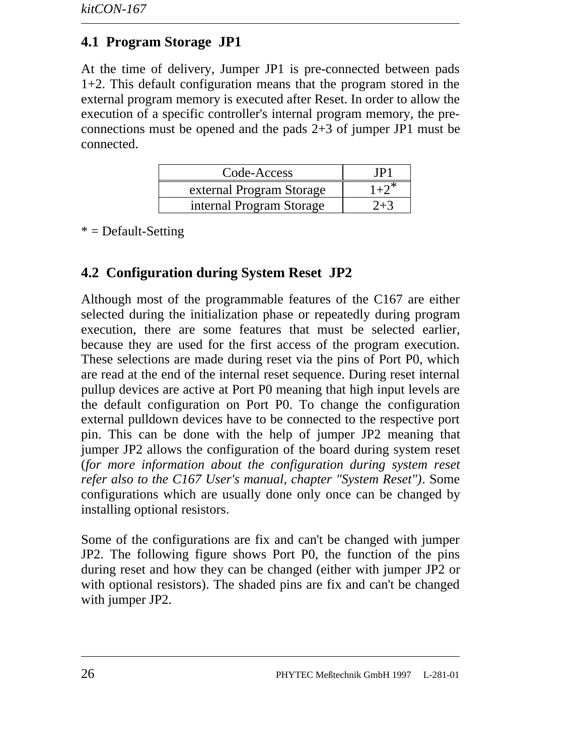## **4.1 Program Storage JP1**

At the time of delivery, Jumper JP1 is pre-connected between pads 1+2. This default configuration means that the program stored in the external program memory is executed after Reset. In order to allow the execution of a specific controller's internal program memory, the preconnections must be opened and the pads 2+3 of jumper JP1 must be connected.

| Code-Access              | IP I |
|--------------------------|------|
| external Program Storage |      |
| internal Program Storage | フェス  |

 $*$  = Default-Setting

## **4.2 Configuration during System Reset JP2**

Although most of the programmable features of the C167 are either selected during the initialization phase or repeatedly during program execution, there are some features that must be selected earlier, because they are used for the first access of the program execution. These selections are made during reset via the pins of Port P0, which are read at the end of the internal reset sequence. During reset internal pullup devices are active at Port P0 meaning that high input levels are the default configuration on Port P0. To change the configuration external pulldown devices have to be connected to the respective port pin. This can be done with the help of jumper JP2 meaning that jumper JP2 allows the configuration of the board during system reset (*for more information about the configuration during system reset refer also to the C167 User's manual, chapter "System Reset")*. Some configurations which are usually done only once can be changed by installing optional resistors.

Some of the configurations are fix and can't be changed with jumper JP2. The following figure shows Port P0, the function of the pins during reset and how they can be changed (either with jumper JP2 or with optional resistors). The shaded pins are fix and can't be changed with jumper JP2.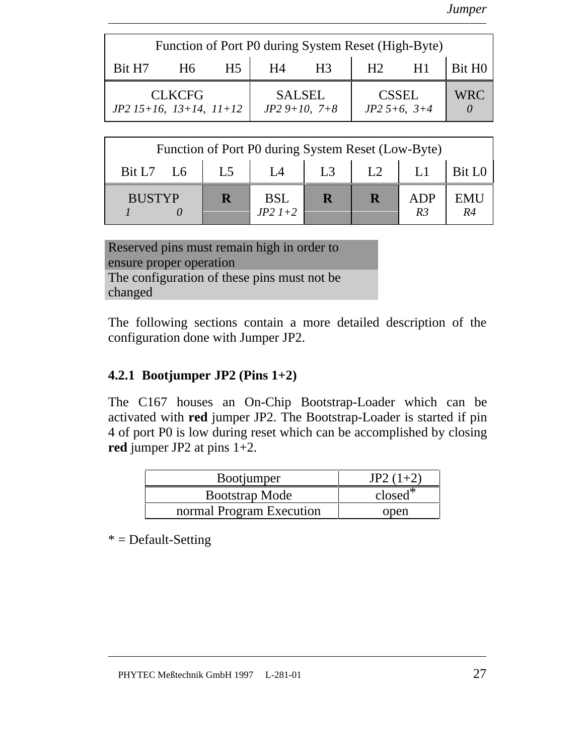| Function of Port P0 during System Reset (High-Byte) |    |                |                                 |                |                                 |            |                    |
|-----------------------------------------------------|----|----------------|---------------------------------|----------------|---------------------------------|------------|--------------------|
| Bit H7                                              | H6 | H <sub>5</sub> | H4                              | H <sup>3</sup> | H2                              | H1         | Bit H <sub>0</sub> |
| <b>CLKCFG</b><br>$JP2 15+16$ , $13+14$ , $11+12$    |    |                | <b>SALSEL</b><br>$JP29+10, 7+8$ |                | <b>CSSEL</b><br>$JP2\,5+6, 3+4$ | <b>WRC</b> |                    |

| Function of Port P0 during System Reset (Low-Byte) |                |                        |    |    |                              |                    |
|----------------------------------------------------|----------------|------------------------|----|----|------------------------------|--------------------|
| Bit L7 $L6$                                        | L <sub>5</sub> | L4                     | L3 | L2 |                              | Bit L <sub>0</sub> |
| <b>BUSTYP</b>                                      | ĸ              | <b>BSL</b><br>$JP21+2$ | R  | R  | <b>ADP</b><br>R <sub>3</sub> | <b>EMU</b><br>R4   |

Reserved pins must remain high in order to ensure proper operation The configuration of these pins must not be changed

The following sections contain a more detailed description of the configuration done with Jumper JP2.

#### **4.2.1 Bootjumper JP2 (Pins 1+2)**

The C167 houses an On-Chip Bootstrap-Loader which can be activated with **red** jumper JP2. The Bootstrap-Loader is started if pin 4 of port P0 is low during reset which can be accomplished by closing **red** jumper JP2 at pins 1+2.

| <b>Bootjumper</b>        | $JP2(1+2)$ |
|--------------------------|------------|
| <b>Bootstrap Mode</b>    | $closed^*$ |
| normal Program Execution | open       |

 $* =$  Default-Setting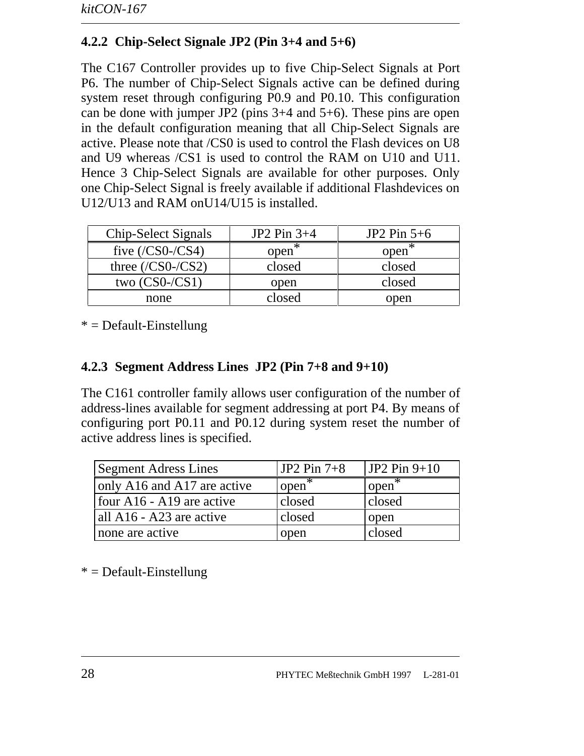## **4.2.2 Chip-Select Signale JP2 (Pin 3+4 and 5+6)**

The C167 Controller provides up to five Chip-Select Signals at Port P6. The number of Chip-Select Signals active can be defined during system reset through configuring P0.9 and P0.10. This configuration can be done with jumper JP2 (pins 3+4 and 5+6). These pins are open in the default configuration meaning that all Chip-Select Signals are active. Please note that /CS0 is used to control the Flash devices on U8 and U9 whereas /CS1 is used to control the RAM on U10 and U11. Hence 3 Chip-Select Signals are available for other purposes. Only one Chip-Select Signal is freely available if additional Flashdevices on U12/U13 and RAM onU14/U15 is installed.

| Chip-Select Signals  | JP2 Pin $3+4$ | JP2 Pin $5+6$ |
|----------------------|---------------|---------------|
| five $(CSO-CS4)$     | open          | open          |
| three $/(CS0-(CS2))$ | closed        | closed        |
| two $(CSO-CS1)$      | open          | closed        |
| none                 | closed        | open          |

 $* =$  Default-Einstellung

#### **4.2.3 Segment Address Lines JP2 (Pin 7+8 and 9+10)**

The C161 controller family allows user configuration of the number of address-lines available for segment addressing at port P4. By means of configuring port P0.11 and P0.12 during system reset the number of active address lines is specified.

| <b>Segment Adress Lines</b> | $IP2$ Pin $7+8$ | $\vert$ JP2 Pin 9+10 |
|-----------------------------|-----------------|----------------------|
| only A16 and A17 are active | $open^*$        | $open^*$             |
| four $A16 - A19$ are active | closed          | closed               |
| all $A16 - A23$ are active  | closed          | open                 |
| none are active             | open            | closed               |

 $* =$  Default-Einstellung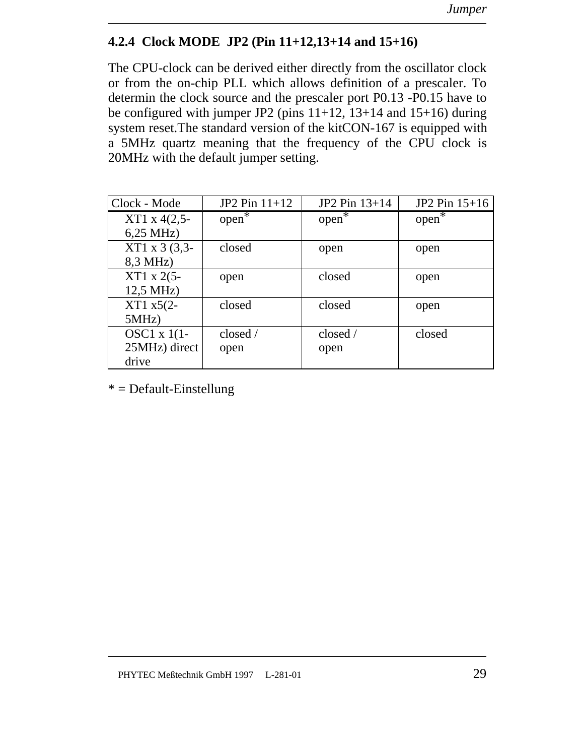#### **4.2.4 Clock MODE JP2 (Pin 11+12,13+14 and 15+16)**

The CPU-clock can be derived either directly from the oscillator clock or from the on-chip PLL which allows definition of a prescaler. To determin the clock source and the prescaler port P0.13 -P0.15 have to be configured with jumper JP2 (pins 11+12, 13+14 and 15+16) during system reset.The standard version of the kitCON-167 is equipped with a 5MHz quartz meaning that the frequency of the CPU clock is 20MHz with the default jumper setting.

| Clock - Mode         | $JP2 Pin 11+12$ | JP2 Pin 13+14 | JP2 Pin 15+16 |
|----------------------|-----------------|---------------|---------------|
| $XT1 \times 4(2,5-)$ | $open^*$        | $open^*$      | $open^*$      |
| $6,25$ MHz)          |                 |               |               |
| $XT1 x 3 (3,3-$      | closed          | open          | open          |
| 8,3 MHz)             |                 |               |               |
| $XT1 x 2(5-$         | open            | closed        | open          |
| $12,5 \text{ MHz}$   |                 |               |               |
| $XT1 x5(2-$          | closed          | closed        | open          |
| 5MHz)                |                 |               |               |
| $OSC1 \times 1(1-$   | closed /        | closed /      | closed        |
| 25MHz) direct        | open            | open          |               |
| drive                |                 |               |               |

 $* =$  Default-Einstellung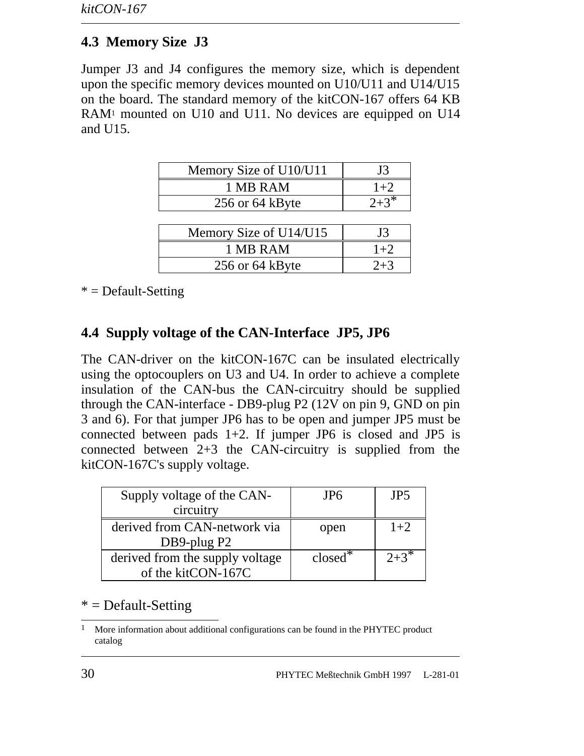## **4.3 Memory Size J3**

Jumper J3 and J4 configures the memory size, which is dependent upon the specific memory devices mounted on U10/U11 and U14/U15 on the board. The standard memory of the kitCON-167 offers 64 KB RAM<sup>1</sup> mounted on U10 and U11. No devices are equipped on U14 and U15.

| Memory Size of U10/U11 | J3      |
|------------------------|---------|
| 1 MB RAM               | $1+2$   |
| 256 or 64 kByte        | $2 + 3$ |
|                        |         |
| Memory Size of U14/U15 | J3      |
| 1 MB RAM               | $1 + 2$ |
| 256 or 64 kByte        | $2 + 3$ |

 $* =$  Default-Setting

#### **4.4 Supply voltage of the CAN-Interface JP5, JP6**

The CAN-driver on the kitCON-167C can be insulated electrically using the optocouplers on U3 and U4. In order to achieve a complete insulation of the CAN-bus the CAN-circuitry should be supplied through the CAN-interface - DB9-plug P2 (12V on pin 9, GND on pin 3 and 6). For that jumper JP6 has to be open and jumper JP5 must be connected between pads  $1+2$ . If jumper JP6 is closed and JP5 is connected between 2+3 the CAN-circuitry is supplied from the kitCON-167C's supply voltage.

| Supply voltage of the CAN-<br>circuitry | JP <sub>6</sub> | JP <sub>5</sub>    |
|-----------------------------------------|-----------------|--------------------|
|                                         |                 |                    |
| derived from CAN-network via            | open            | $1+2$              |
| DB9-plug P2                             |                 |                    |
| derived from the supply voltage         | $closed^*$      | $2+3$ <sup>*</sup> |
| of the kitCON-167C                      |                 |                    |

 $*$  = Default-Setting

<sup>1</sup> <sup>1</sup> More information about additional configurations can be found in the PHYTEC product catalog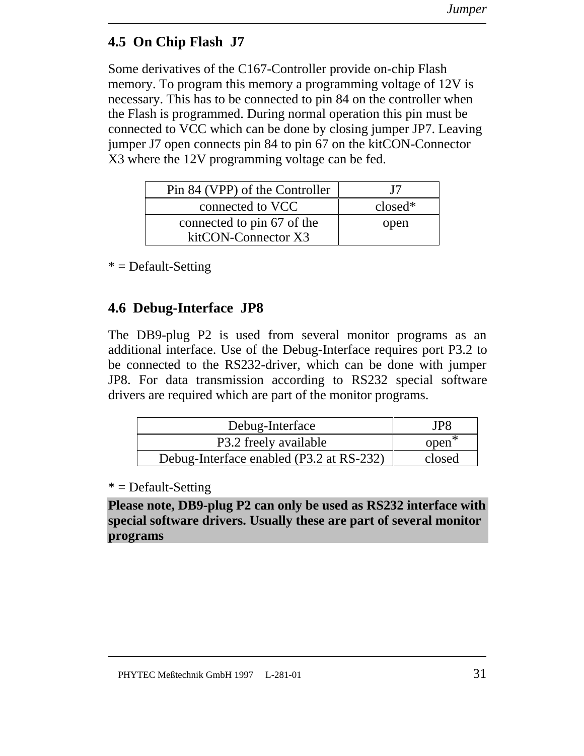## **4.5 On Chip Flash J7**

Some derivatives of the C167-Controller provide on-chip Flash memory. To program this memory a programming voltage of 12V is necessary. This has to be connected to pin 84 on the controller when the Flash is programmed. During normal operation this pin must be connected to VCC which can be done by closing jumper JP7. Leaving jumper J7 open connects pin 84 to pin 67 on the kitCON-Connector X3 where the 12V programming voltage can be fed.

| Pin 84 (VPP) of the Controller |           |
|--------------------------------|-----------|
| connected to VCC               | $closed*$ |
| connected to pin 67 of the     | open      |
| kitCON-Connector X3            |           |

 $*$  = Default-Setting

## **4.6 Debug-Interface JP8**

The DB9-plug P2 is used from several monitor programs as an additional interface. Use of the Debug-Interface requires port P3.2 to be connected to the RS232-driver, which can be done with jumper JP8. For data transmission according to RS232 special software drivers are required which are part of the monitor programs.

| Debug-Interface                          | IP8    |
|------------------------------------------|--------|
| P3.2 freely available                    | open   |
| Debug-Interface enabled (P3.2 at RS-232) | closed |

 $* =$  Default-Setting

**Please note, DB9-plug P2 can only be used as RS232 interface with special software drivers. Usually these are part of several monitor programs**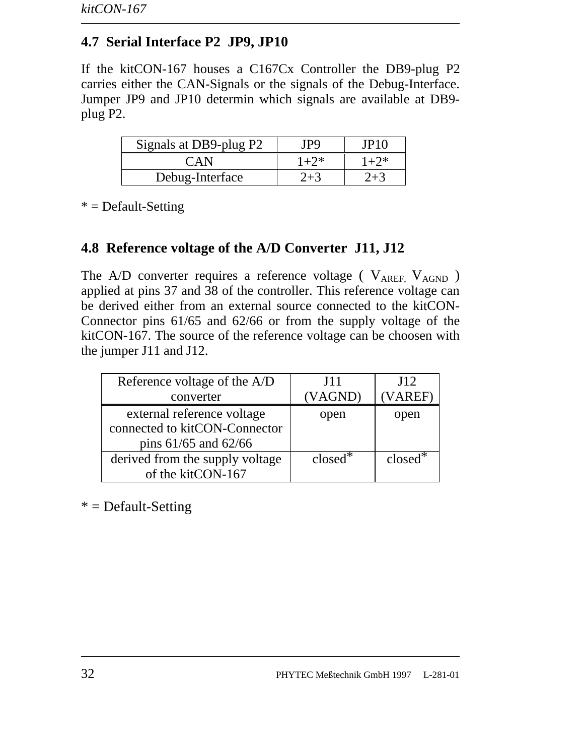## **4.7 Serial Interface P2 JP9, JP10**

If the kitCON-167 houses a C167Cx Controller the DB9-plug P2 carries either the CAN-Signals or the signals of the Debug-Interface. Jumper JP9 and JP10 determin which signals are available at DB9 plug P2.

| Signals at DB9-plug P2 | TP9                         | JP10    |
|------------------------|-----------------------------|---------|
| (`AN                   | 1⊥ ?*                       | י בר⊥ ו |
| Debug-Interface        | $\mathcal{D} + \mathcal{D}$ |         |

 $* =$  Default-Setting

#### **4.8 Reference voltage of the A/D Converter J11, J12**

The A/D converter requires a reference voltage ( $V_{AREF}$ ,  $V_{AGND}$ ) applied at pins 37 and 38 of the controller. This reference voltage can be derived either from an external source connected to the kitCON-Connector pins 61/65 and 62/66 or from the supply voltage of the kitCON-167. The source of the reference voltage can be choosen with the jumper J11 and J12.

| Reference voltage of the A/D    | J11        | J12        |
|---------------------------------|------------|------------|
| converter                       | (VAGND)    | /AREF)     |
| external reference voltage      | open       | open       |
| connected to kitCON-Connector   |            |            |
| pins $61/65$ and $62/66$        |            |            |
| derived from the supply voltage | $closed^*$ | $closed^*$ |
| of the kitCON-167               |            |            |

 $* =$  Default-Setting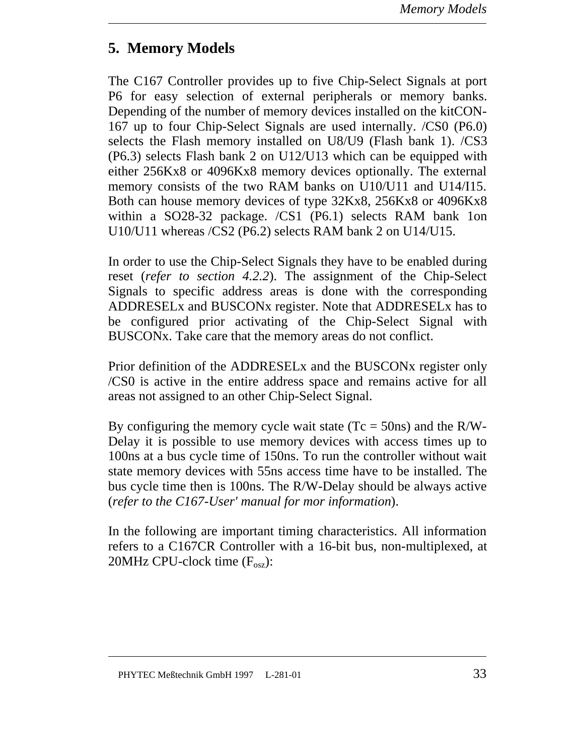## **5. Memory Models**

The C167 Controller provides up to five Chip-Select Signals at port P6 for easy selection of external peripherals or memory banks. Depending of the number of memory devices installed on the kitCON-167 up to four Chip-Select Signals are used internally. /CS0 (P6.0) selects the Flash memory installed on U8/U9 (Flash bank 1). /CS3 (P6.3) selects Flash bank 2 on U12/U13 which can be equipped with either 256Kx8 or 4096Kx8 memory devices optionally. The external memory consists of the two RAM banks on U10/U11 and U14/I15. Both can house memory devices of type 32Kx8, 256Kx8 or 4096Kx8 within a SO28-32 package. /CS1 (P6.1) selects RAM bank 1on U10/U11 whereas /CS2 (P6.2) selects RAM bank 2 on U14/U15.

In order to use the Chip-Select Signals they have to be enabled during reset (*refer to section 4.2.2*). The assignment of the Chip-Select Signals to specific address areas is done with the corresponding ADDRESELx and BUSCONx register. Note that ADDRESELx has to be configured prior activating of the Chip-Select Signal with BUSCONx. Take care that the memory areas do not conflict.

Prior definition of the ADDRESELx and the BUSCONx register only /CS0 is active in the entire address space and remains active for all areas not assigned to an other Chip-Select Signal.

By configuring the memory cycle wait state  $(Tc = 50 \text{ns})$  and the R/W-Delay it is possible to use memory devices with access times up to 100ns at a bus cycle time of 150ns. To run the controller without wait state memory devices with 55ns access time have to be installed. The bus cycle time then is 100ns. The R/W-Delay should be always active (*refer to the C167-User' manual for mor information*).

In the following are important timing characteristics. All information refers to a C167CR Controller with a 16-bit bus, non-multiplexed, at 20MHz CPU-clock time  $(F_{.057})$ :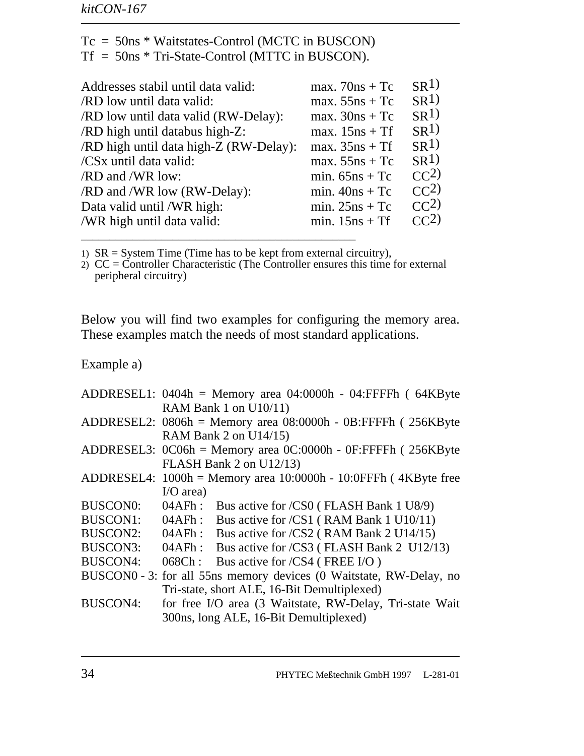Tc = 50ns \* Waitstates-Control (MCTC in BUSCON)

Tf = 50ns \* Tri-State-Control (MTTC in BUSCON).

| Addresses stabil until data valid:     | $max. 70ns + Tc$ | SR <sup>1</sup> |
|----------------------------------------|------------------|-----------------|
| /RD low until data valid:              | max. $55ns + Tc$ | SR <sup>1</sup> |
| /RD low until data valid (RW-Delay):   | max. $30ns + Tc$ | SR <sup>1</sup> |
| /RD high until databus high-Z:         | max. $15ns + Tf$ | SR <sup>1</sup> |
| /RD high until data high-Z (RW-Delay): | max. $35ns + Tf$ | SR <sup>1</sup> |
| /CSx until data valid:                 | max. $55ns + Tc$ | SR <sup>1</sup> |
| /RD and /WR low:                       | min. $65ns + Tc$ | CC <sup>2</sup> |
| /RD and /WR low (RW-Delay):            | $min. 40ns + Tc$ | CC <sup>2</sup> |
| Data valid until /WR high:             | $min. 25ns + Tc$ | CC <sup>2</sup> |
| /WR high until data valid:             | min. $15ns + Tf$ | CC <sup>2</sup> |
|                                        |                  |                 |

1)  $SR = System Time$  (Time has to be kept from external circuitry),

2) CC = Controller Characteristic (The Controller ensures this time for external peripheral circuitry)

Below you will find two examples for configuring the memory area. These examples match the needs of most standard applications.

#### Example a)

|                 | ADDRESEL1: $0404h$ = Memory area $04:0000h$ - $04:$ FFFFh (64KByte     |
|-----------------|------------------------------------------------------------------------|
|                 | RAM Bank 1 on U10/11)                                                  |
|                 | ADDRESEL2: $0806h$ = Memory area $08:0000h$ - $0B:$ FFFFh (256KByte    |
|                 | RAM Bank $2$ on U14/15)                                                |
|                 | ADDRESEL3: $0C06h$ = Memory area $0C:0000h$ - $0F:$ FFFFh (256KByte    |
|                 | FLASH Bank 2 on U12/13)                                                |
|                 | ADDRESEL4: $1000h$ = Memory area $10:0000h$ - $10:0$ FFFh (4KByte free |
|                 | $I/O$ area)                                                            |
| <b>BUSCON0:</b> | 04AFh:<br>Bus active for /CS0 (FLASH Bank 1 U8/9)                      |
| BUSCON1:        | 04AFh : Bus active for /CS1 (RAM Bank 1 U10/11)                        |
| BUSCON2:        | 04AFh : Bus active for /CS2 (RAM Bank 2 U14/15)                        |
| <b>BUSCON3:</b> | 04AFh : Bus active for /CS3 (FLASH Bank 2 U12/13)                      |
| <b>BUSCON4:</b> | Bus active for /CS4 (FREE I/O)<br>068Ch:                               |
|                 | BUSCON0 - 3: for all 55ns memory devices (0 Waitstate, RW-Delay, no    |
|                 | Tri-state, short ALE, 16-Bit Demultiplexed)                            |
| <b>BUSCON4:</b> | for free I/O area (3 Waitstate, RW-Delay, Tri-state Wait               |
|                 | 300ns, long ALE, 16-Bit Demultiplexed)                                 |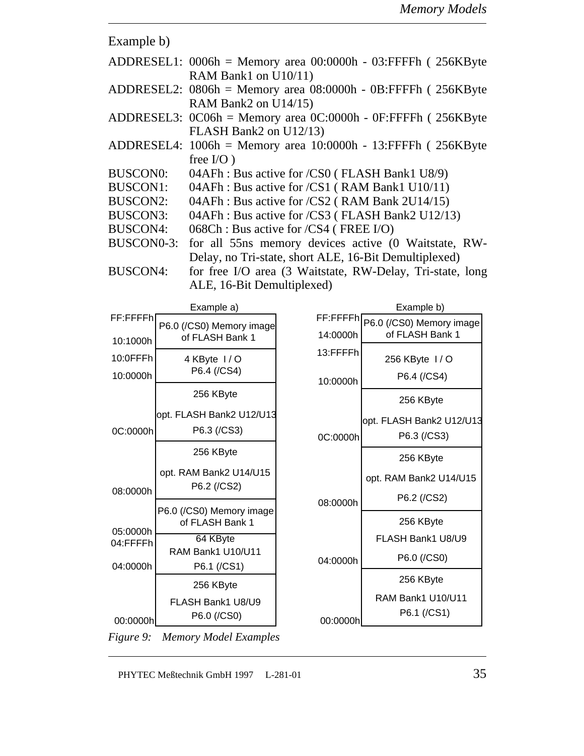Example b)

- ADDRESEL1: 0006h = Memory area 00:0000h 03:FFFFh ( 256KByte RAM Bank1 on U10/11)
- ADDRESEL2: 0806h = Memory area 08:0000h 0B:FFFFh ( 256KByte RAM Bank2 on U14/15)
- ADDRESEL3: 0C06h = Memory area 0C:0000h 0F:FFFFh ( 256KByte FLASH Bank2 on U12/13)
- ADDRESEL4: 1006h = Memory area 10:0000h 13:FFFFh ( 256KByte free  $I/O$ )
- BUSCON0: 04AFh : Bus active for /CS0 ( FLASH Bank1 U8/9)
- BUSCON1: 04AFh : Bus active for /CS1 ( RAM Bank1 U10/11)
- BUSCON2: 04AFh : Bus active for /CS2 ( RAM Bank 2U14/15)
- BUSCON3: 04AFh : Bus active for /CS3 ( FLASH Bank2 U12/13)
- BUSCON4: 068Ch : Bus active for /CS4 ( FREE I/O)
- BUSCON0-3: for all 55ns memory devices active (0 Waitstate, RW-Delay, no Tri-state, short ALE, 16-Bit Demultiplexed)
- BUSCON4: for free I/O area (3 Waitstate, RW-Delay, Tri-state, long ALE, 16-Bit Demultiplexed)

|                      | Example a)                                  |          | Example b)                        |
|----------------------|---------------------------------------------|----------|-----------------------------------|
| FF:FFFFhl            | P6.0 (/CS0) Memory image                    |          | FF:FFFFh P6.0 (/CS0) Memory image |
| 10:1000h             | of FLASH Bank 1                             | 14:0000h | of FLASH Bank 1                   |
| 10:0FFFh             | 4 KByte 1/O                                 | 13:FFFFh | 256 KByte 1/0                     |
| 10:0000h             | P6.4 (/CS4)                                 | 10:0000h | P6.4 (/CS4)                       |
|                      | 256 KByte                                   |          | 256 KByte                         |
|                      | opt. FLASH Bank2 U12/U13                    |          | opt. FLASH Bank2 U12/U13          |
| 0C:0000h             | P6.3 (/CS3)                                 | 0C:0000h | P6.3 (/CS3)                       |
|                      | 256 KByte                                   |          | 256 KByte                         |
|                      | opt. RAM Bank2 U14/U15<br>P6.2 (/CS2)       |          | opt. RAM Bank2 U14/U15            |
| 08:0000h             |                                             | 08:0000h | P6.2 (/CS2)                       |
|                      | P6.0 (/CS0) Memory image<br>of FLASH Bank 1 |          | 256 KByte                         |
| 05:0000h<br>04:FFFFh | 64 KByte                                    |          | FLASH Bank1 U8/U9                 |
| 04:0000h             | RAM Bank1 U10/U11<br>P6.1 (/CS1)            | 04:0000h | P6.0 (/CS0)                       |
|                      | 256 KByte                                   |          | 256 KByte                         |
|                      | FLASH Bank1 U8/U9                           |          | RAM Bank1 U10/U11                 |
| 00:0000h             | P6.0 (/CS0)                                 | 00:0000h | P6.1 (/CS1)                       |

*Figure 9: Memory Model Examples*

PHYTEC Meßtechnik GmbH 1997 L-281-01 35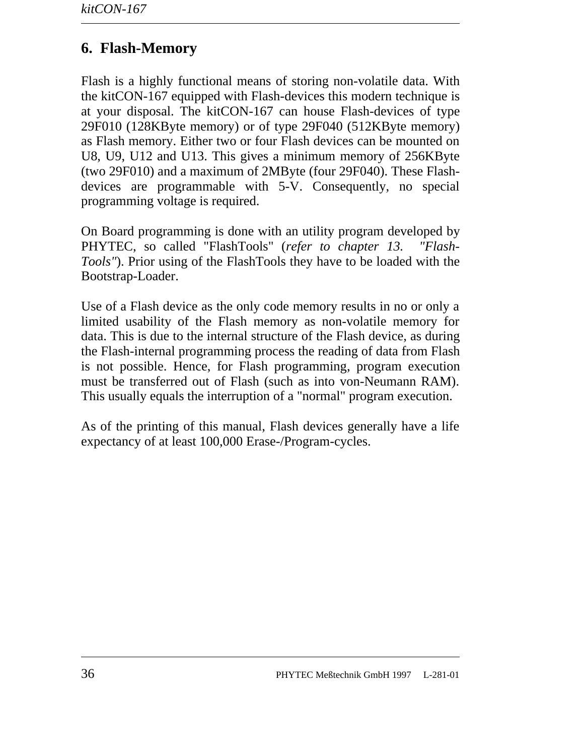## **6. Flash-Memory**

Flash is a highly functional means of storing non-volatile data. With the kitCON-167 equipped with Flash-devices this modern technique is at your disposal. The kitCON-167 can house Flash-devices of type 29F010 (128KByte memory) or of type 29F040 (512KByte memory) as Flash memory. Either two or four Flash devices can be mounted on U8, U9, U12 and U13. This gives a minimum memory of 256KByte (two 29F010) and a maximum of 2MByte (four 29F040). These Flashdevices are programmable with 5-V. Consequently, no special programming voltage is required.

On Board programming is done with an utility program developed by PHYTEC, so called "FlashTools" (*refer to chapter 13. "Flash-Tools"*). Prior using of the FlashTools they have to be loaded with the Bootstrap-Loader.

Use of a Flash device as the only code memory results in no or only a limited usability of the Flash memory as non-volatile memory for data. This is due to the internal structure of the Flash device, as during the Flash-internal programming process the reading of data from Flash is not possible. Hence, for Flash programming, program execution must be transferred out of Flash (such as into von-Neumann RAM). This usually equals the interruption of a "normal" program execution.

As of the printing of this manual, Flash devices generally have a life expectancy of at least 100,000 Erase-/Program-cycles.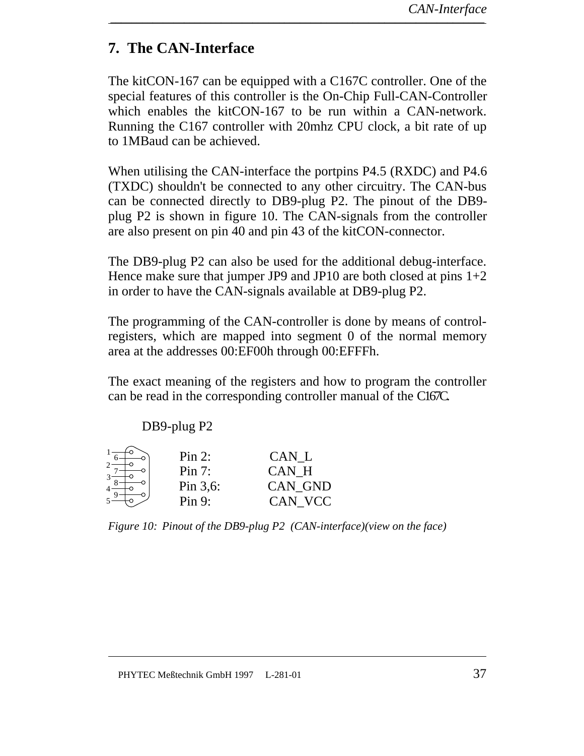## **7. The CAN-Interface**

The kitCON-167 can be equipped with a C167C controller. One of the special features of this controller is the On-Chip Full-CAN-Controller which enables the kitCON-167 to be run within a CAN-network. Running the C167 controller with 20mhz CPU clock, a bit rate of up to 1MBaud can be achieved.

When utilising the CAN-interface the portpins P4.5 (RXDC) and P4.6 (TXDC) shouldn't be connected to any other circuitry. The CAN-bus can be connected directly to DB9-plug P2. The pinout of the DB9 plug P2 is shown in figure 10. The CAN-signals from the controller are also present on pin 40 and pin 43 of the kitCON-connector.

The DB9-plug P2 can also be used for the additional debug-interface. Hence make sure that jumper JP9 and JP10 are both closed at pins  $1+2$ in order to have the CAN-signals available at DB9-plug P2.

The programming of the CAN-controller is done by means of controlregisters, which are mapped into segment 0 of the normal memory area at the addresses 00:EF00h through 00:EFFFh.

The exact meaning of the registers and how to program the controller can be read in the corresponding controller manual of the C167C.

DB9-plug P2

| Pin 2:   | CAN L   |
|----------|---------|
| Pin 7:   | CAN H   |
| Pin 3,6: | CAN GND |
| Pin 9:   | CAN VCC |

*Figure 10: Pinout of the DB9-plug P2 (CAN-interface)(view on the face)*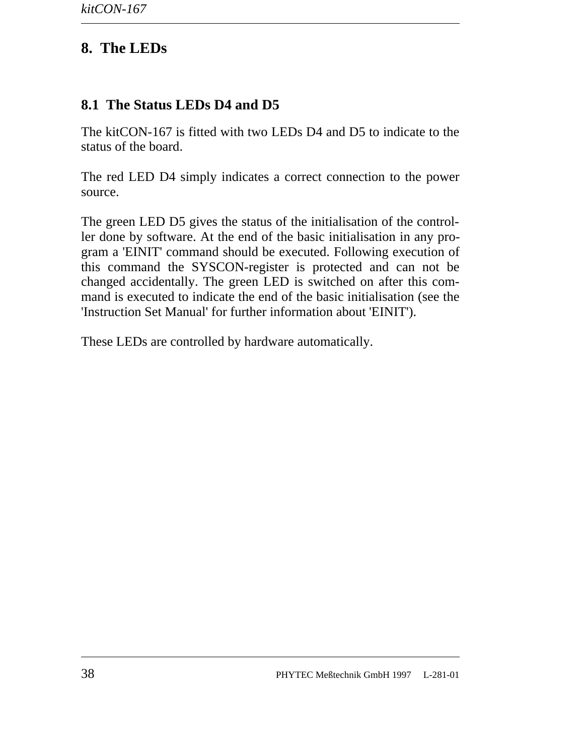## **8. The LEDs**

#### **8.1 The Status LEDs D4 and D5**

The kitCON-167 is fitted with two LEDs D4 and D5 to indicate to the status of the board.

The red LED D4 simply indicates a correct connection to the power source.

The green LED D5 gives the status of the initialisation of the controller done by software. At the end of the basic initialisation in any program a 'EINIT' command should be executed. Following execution of this command the SYSCON-register is protected and can not be changed accidentally. The green LED is switched on after this command is executed to indicate the end of the basic initialisation (see the 'Instruction Set Manual' for further information about 'EINIT').

These LEDs are controlled by hardware automatically.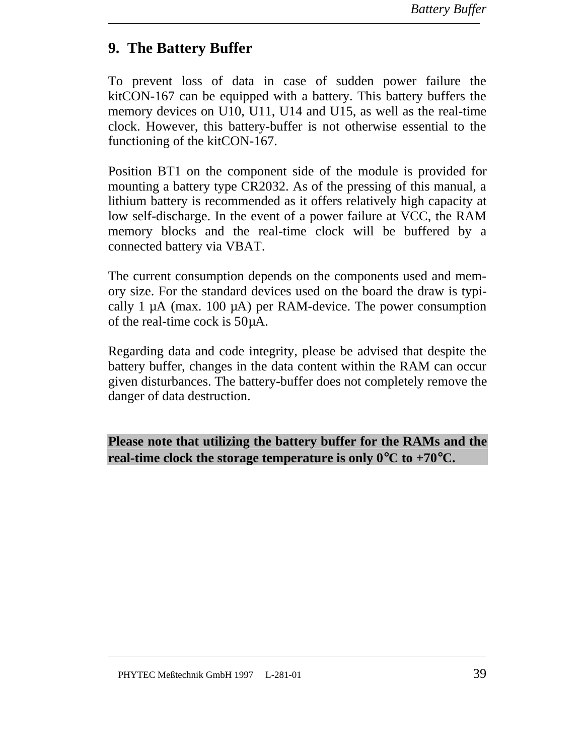## **9. The Battery Buffer**

To prevent loss of data in case of sudden power failure the kitCON-167 can be equipped with a battery. This battery buffers the memory devices on U10, U11, U14 and U15, as well as the real-time clock. However, this battery-buffer is not otherwise essential to the functioning of the kitCON-167.

Position BT1 on the component side of the module is provided for mounting a battery type CR2032. As of the pressing of this manual, a lithium battery is recommended as it offers relatively high capacity at low self-discharge. In the event of a power failure at VCC, the RAM memory blocks and the real-time clock will be buffered by a connected battery via VBAT.

The current consumption depends on the components used and memory size. For the standard devices used on the board the draw is typically 1  $\mu$ A (max. 100  $\mu$ A) per RAM-device. The power consumption of the real-time cock is 50µA.

Regarding data and code integrity, please be advised that despite the battery buffer, changes in the data content within the RAM can occur given disturbances. The battery-buffer does not completely remove the danger of data destruction.

**Please note that utilizing the battery buffer for the RAMs and the real-time clock the storage temperature is only 0**°**C to +70**°**C.**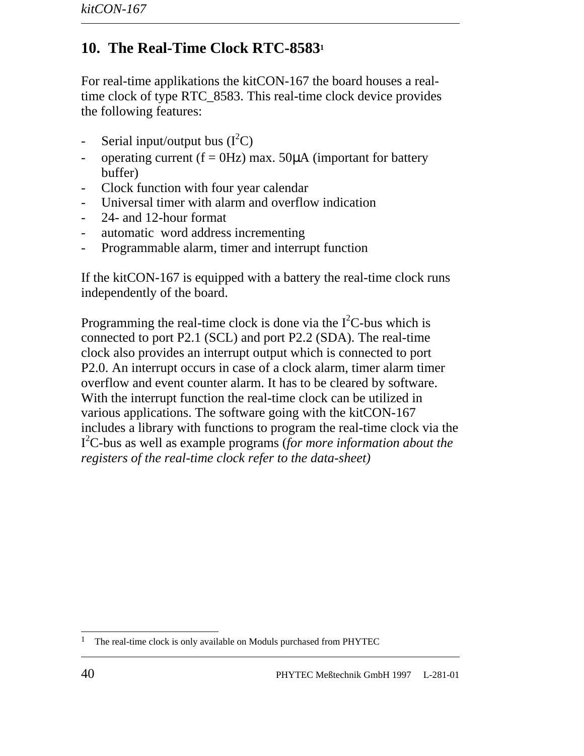## **10. The Real-Time Clock RTC-85831**

For real-time applikations the kitCON-167 the board houses a realtime clock of type RTC\_8583. This real-time clock device provides the following features:

- Serial input/output bus  $(I^2C)$
- operating current  $(f = 0Hz)$  max.  $50\mu A$  (important for battery buffer)
- Clock function with four year calendar
- Universal timer with alarm and overflow indication
- 24- and 12-hour format
- automatic word address incrementing
- Programmable alarm, timer and interrupt function

If the kitCON-167 is equipped with a battery the real-time clock runs independently of the board.

Programming the real-time clock is done via the  $I<sup>2</sup>C$ -bus which is connected to port P2.1 (SCL) and port P2.2 (SDA). The real-time clock also provides an interrupt output which is connected to port P2.0. An interrupt occurs in case of a clock alarm, timer alarm timer overflow and event counter alarm. It has to be cleared by software. With the interrupt function the real-time clock can be utilized in various applications. The software going with the kitCON-167 includes a library with functions to program the real-time clock via the I 2 C-bus as well as example programs (*for more information about the registers of the real-time clock refer to the data-sheet)*

l

<sup>1</sup> <sup>1</sup> The real-time clock is only available on Moduls purchased from PHYTEC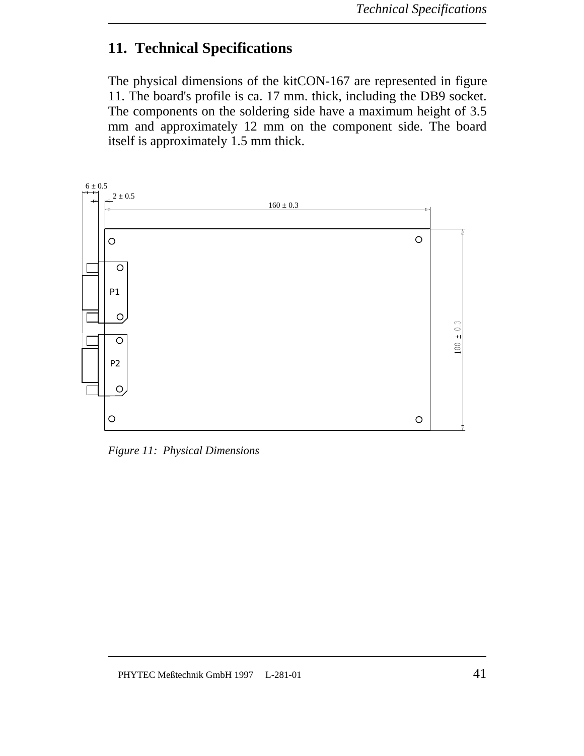## **11. Technical Specifications**

The physical dimensions of the kitCON-167 are represented in figure 11. The board's profile is ca. 17 mm. thick, including the DB9 socket. The components on the soldering side have a maximum height of 3.5 mm and approximately 12 mm on the component side. The board itself is approximately 1.5 mm thick.

![](_page_44_Figure_3.jpeg)

*Figure 11: Physical Dimensions*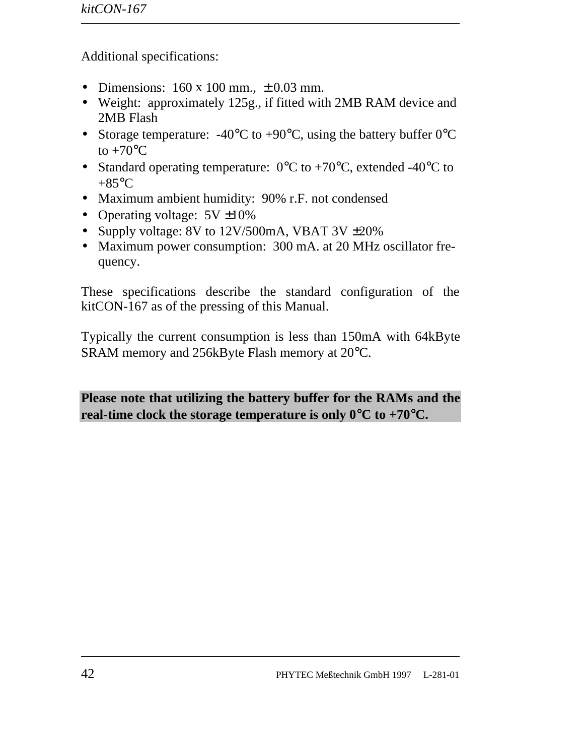Additional specifications:

- Dimensions:  $160 \times 100$  mm.,  $\pm 0.03$  mm.
- Weight: approximately 125g., if fitted with 2MB RAM device and 2MB Flash
- Storage temperature:  $-40^{\circ}\text{C}$  to  $+90^{\circ}\text{C}$ , using the battery buffer  $0^{\circ}\text{C}$ to  $+70^{\circ}$ C
- Standard operating temperature:  $0^{\circ}$ C to +70 $^{\circ}$ C, extended -40 $^{\circ}$ C to  $+85^{\circ}C$
- Maximum ambient humidity: 90% r.F. not condensed
- Operating voltage:  $5V \pm 10\%$
- Supply voltage: 8V to 12V/500mA, VBAT 3V ±20%
- Maximum power consumption: 300 mA. at 20 MHz oscillator frequency.

These specifications describe the standard configuration of the kitCON-167 as of the pressing of this Manual.

Typically the current consumption is less than 150mA with 64kByte SRAM memory and 256kByte Flash memory at 20°C.

**Please note that utilizing the battery buffer for the RAMs and the real-time clock the storage temperature is only 0**°**C to +70**°**C.**

 $\overline{\phantom{a}}$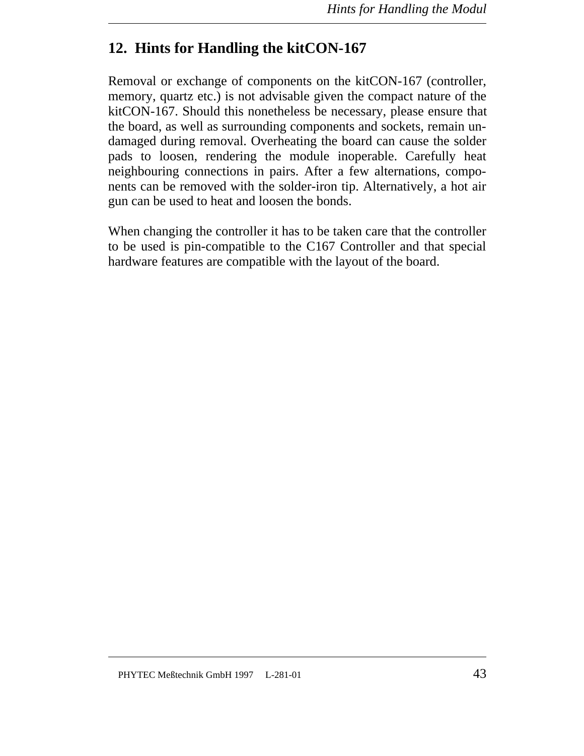## **12. Hints for Handling the kitCON-167**

Removal or exchange of components on the kitCON-167 (controller, memory, quartz etc.) is not advisable given the compact nature of the kitCON-167. Should this nonetheless be necessary, please ensure that the board, as well as surrounding components and sockets, remain undamaged during removal. Overheating the board can cause the solder pads to loosen, rendering the module inoperable. Carefully heat neighbouring connections in pairs. After a few alternations, components can be removed with the solder-iron tip. Alternatively, a hot air gun can be used to heat and loosen the bonds.

When changing the controller it has to be taken care that the controller to be used is pin-compatible to the C167 Controller and that special hardware features are compatible with the layout of the board.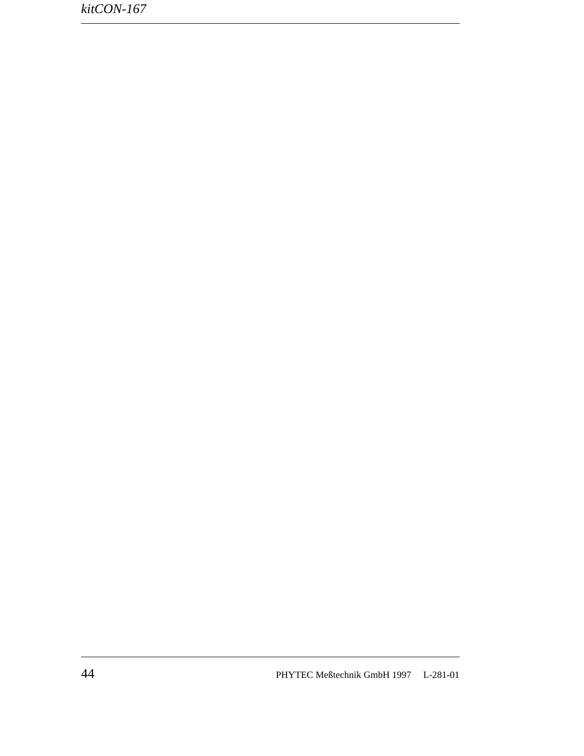l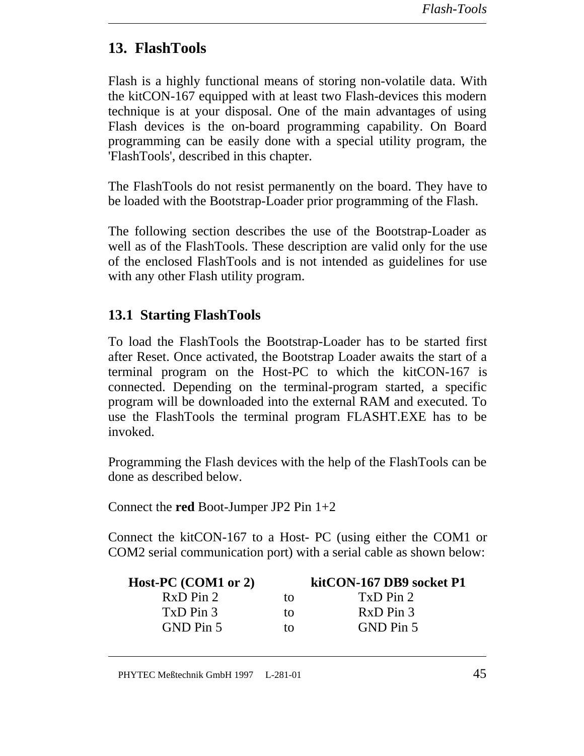## **13. FlashTools**

Flash is a highly functional means of storing non-volatile data. With the kitCON-167 equipped with at least two Flash-devices this modern technique is at your disposal. One of the main advantages of using Flash devices is the on-board programming capability. On Board programming can be easily done with a special utility program, the 'FlashTools', described in this chapter.

The FlashTools do not resist permanently on the board. They have to be loaded with the Bootstrap-Loader prior programming of the Flash.

The following section describes the use of the Bootstrap-Loader as well as of the FlashTools. These description are valid only for the use of the enclosed FlashTools and is not intended as guidelines for use with any other Flash utility program.

#### **13.1 Starting FlashTools**

To load the FlashTools the Bootstrap-Loader has to be started first after Reset. Once activated, the Bootstrap Loader awaits the start of a terminal program on the Host-PC to which the kitCON-167 is connected. Depending on the terminal-program started, a specific program will be downloaded into the external RAM and executed. To use the FlashTools the terminal program FLASHT.EXE has to be invoked.

Programming the Flash devices with the help of the FlashTools can be done as described below.

Connect the **red** Boot-Jumper JP2 Pin 1+2

Connect the kitCON-167 to a Host- PC (using either the COM1 or COM2 serial communication port) with a serial cable as shown below:

| Host-PC (COM1 or 2) |     | kitCON-167 DB9 socket P1 |
|---------------------|-----|--------------------------|
| $RxD$ Pin 2         | tΩ. | $TxD$ Pin 2              |
| $TxD$ Pin 3         | tΩ  | $RxD$ Pin 3              |
| GND Pin 5           | tΩ  | GND Pin 5                |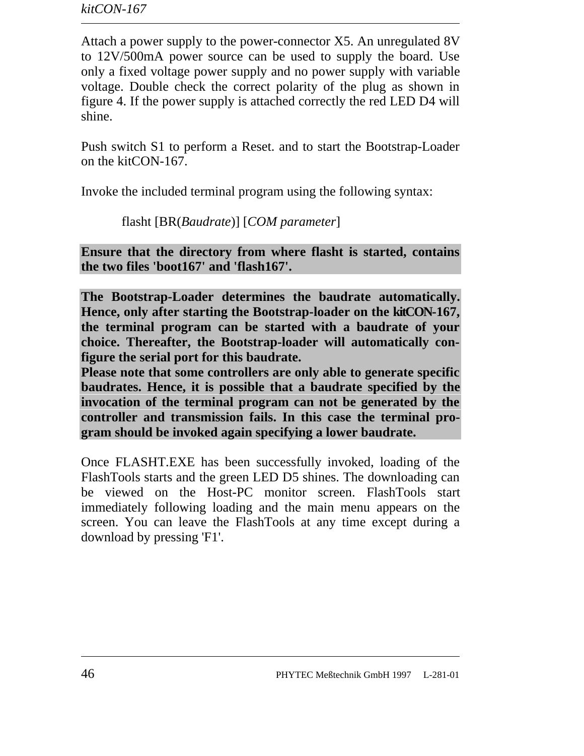Attach a power supply to the power-connector X5. An unregulated 8V to 12V/500mA power source can be used to supply the board. Use only a fixed voltage power supply and no power supply with variable voltage. Double check the correct polarity of the plug as shown in figure 4. If the power supply is attached correctly the red LED D4 will shine.

Push switch S1 to perform a Reset. and to start the Bootstrap-Loader on the kitCON-167.

Invoke the included terminal program using the following syntax:

#### flasht [BR(*Baudrate*)] [*COM parameter*]

**Ensure that the directory from where flasht is started, contains the two files 'boot167' and 'flash167'.**

**The Bootstrap-Loader determines the baudrate automatically. Hence, only after starting the Bootstrap-loader on the kitCON-167, the terminal program can be started with a baudrate of your choice. Thereafter, the Bootstrap-loader will automatically configure the serial port for this baudrate.**

**Please note that some controllers are only able to generate specific baudrates. Hence, it is possible that a baudrate specified by the invocation of the terminal program can not be generated by the controller and transmission fails. In this case the terminal program should be invoked again specifying a lower baudrate.**

Once FLASHT.EXE has been successfully invoked, loading of the FlashTools starts and the green LED D5 shines. The downloading can be viewed on the Host-PC monitor screen. FlashTools start immediately following loading and the main menu appears on the screen. You can leave the FlashTools at any time except during a download by pressing 'F1'.

 $\overline{\phantom{a}}$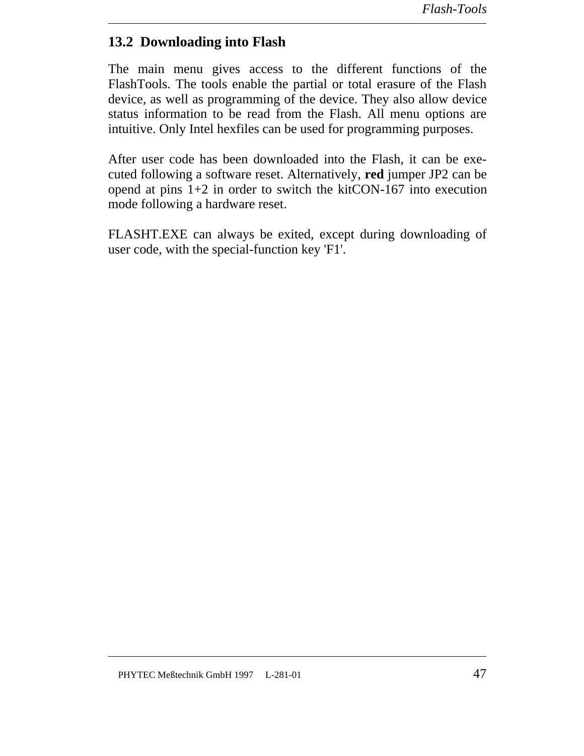## **13.2 Downloading into Flash**

The main menu gives access to the different functions of the FlashTools. The tools enable the partial or total erasure of the Flash device, as well as programming of the device. They also allow device status information to be read from the Flash. All menu options are intuitive. Only Intel hexfiles can be used for programming purposes.

After user code has been downloaded into the Flash, it can be executed following a software reset. Alternatively, **red** jumper JP2 can be opend at pins 1+2 in order to switch the kitCON-167 into execution mode following a hardware reset.

FLASHT.EXE can always be exited, except during downloading of user code, with the special-function key 'F1'.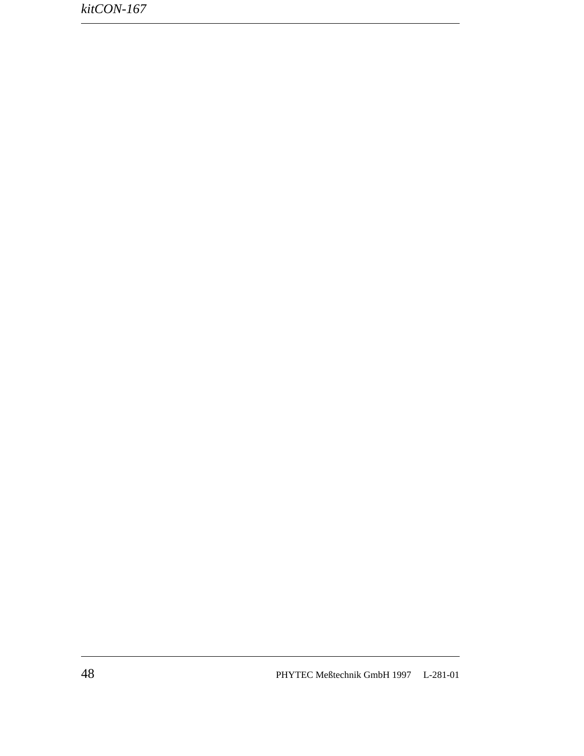$\overline{\phantom{a}}$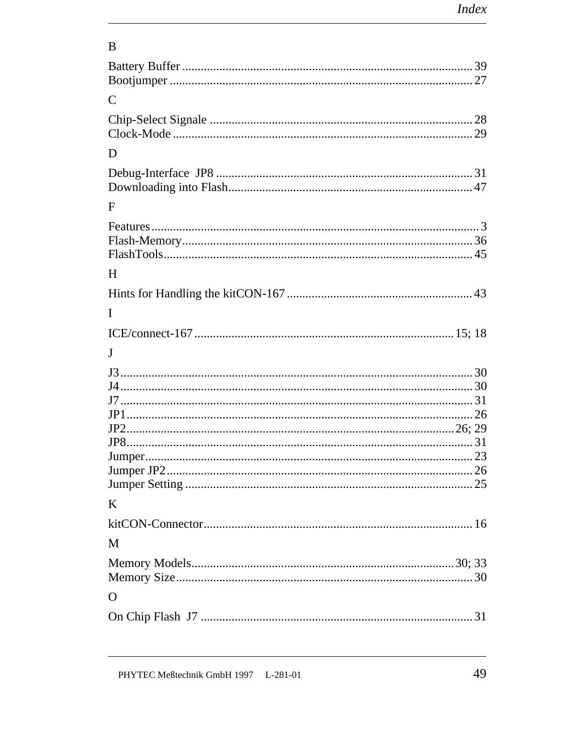| B             |  |
|---------------|--|
|               |  |
| $\mathcal{C}$ |  |
|               |  |
| D             |  |
|               |  |
| $\mathbf{F}$  |  |
|               |  |
| H             |  |
|               |  |
| I             |  |
|               |  |
|               |  |
| $\mathbf{J}$  |  |
| $\rm K$<br>M  |  |
| $\Omega$      |  |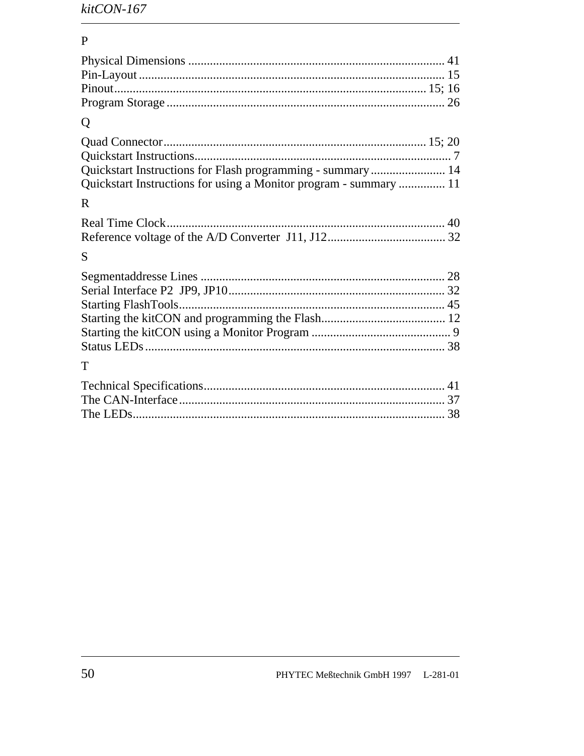| $\mathbf{P}$                                                                                                                     |
|----------------------------------------------------------------------------------------------------------------------------------|
|                                                                                                                                  |
| Q                                                                                                                                |
|                                                                                                                                  |
| Quickstart Instructions for Flash programming - summary  14<br>Quickstart Instructions for using a Monitor program - summary  11 |
| R                                                                                                                                |
|                                                                                                                                  |
| S                                                                                                                                |
|                                                                                                                                  |
|                                                                                                                                  |
| T                                                                                                                                |
|                                                                                                                                  |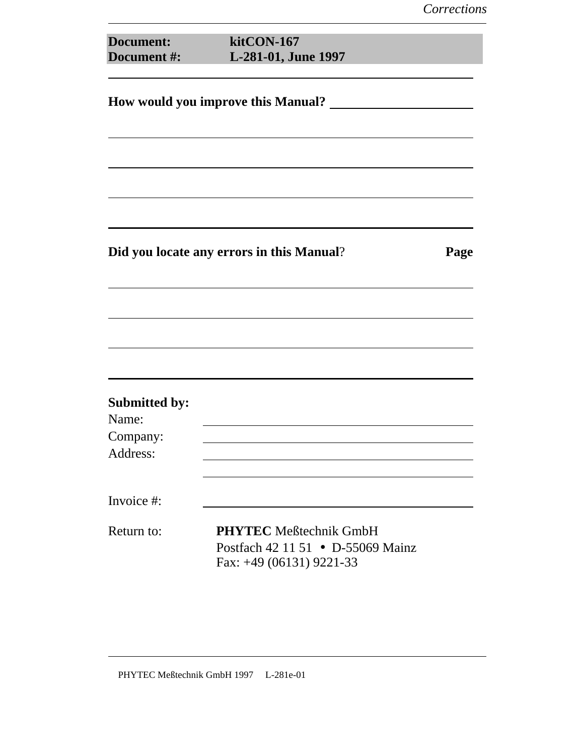| Document:<br>Document #:      | kitCON-167<br>L-281-01, June 1997                                                              |      |
|-------------------------------|------------------------------------------------------------------------------------------------|------|
|                               |                                                                                                |      |
|                               |                                                                                                |      |
|                               | Did you locate any errors in this Manual?                                                      | Page |
|                               |                                                                                                |      |
|                               |                                                                                                |      |
| <b>Submitted by:</b><br>Name: |                                                                                                |      |
| Company:<br>Address:          |                                                                                                |      |
| Invoice #:                    |                                                                                                |      |
| Return to:                    | <b>PHYTEC</b> Meßtechnik GmbH<br>Postfach 42 11 51 • D-55069 Mainz<br>Fax: $+49(06131)9221-33$ |      |